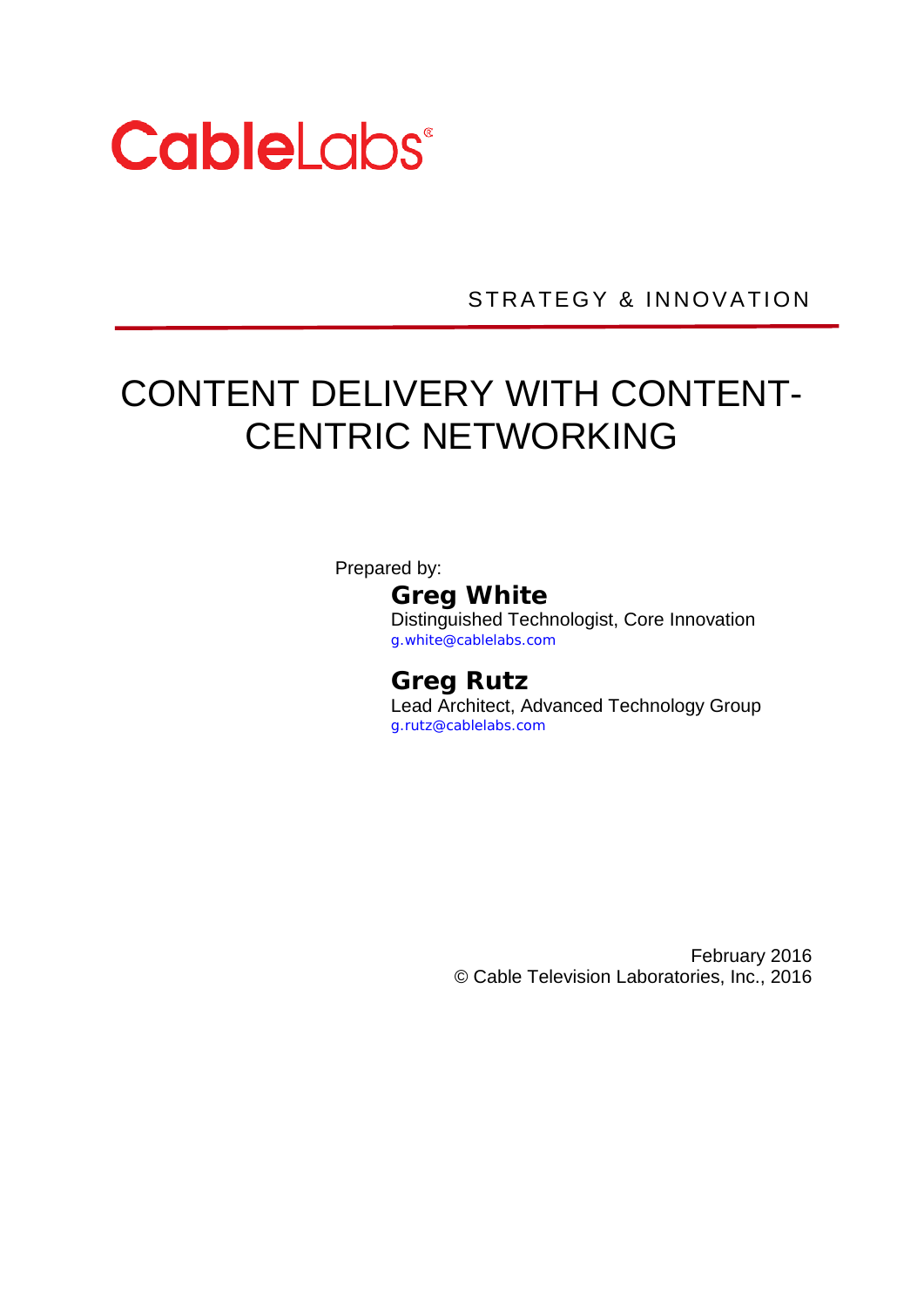

STRATEGY & INNOVATION

# CONTENT DELIVERY WITH CONTENT-CENTRIC NETWORKING

Prepared by:

### **Greg White**

Distinguished Technologist, Core Innovation g.white@cablelabs.com

#### **Greg Rutz**

Lead Architect, Advanced Technology Group g.rutz@cablelabs.com

> February 2016 © Cable Television Laboratories, Inc., 2016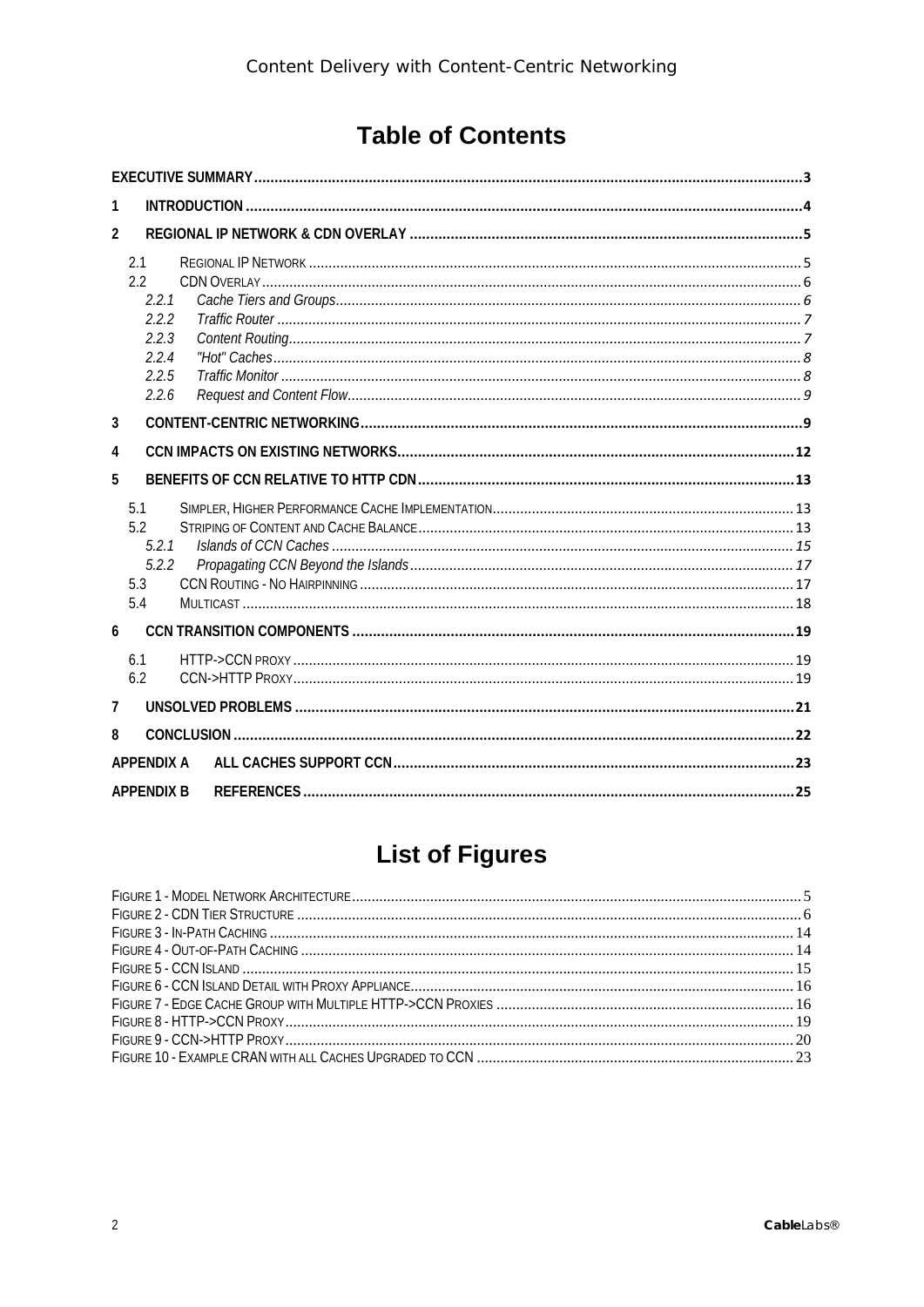# **Table of Contents**

| 1                                                                |  |
|------------------------------------------------------------------|--|
| $\overline{2}$                                                   |  |
| 2.1<br>2.2<br>2.2.1<br>2.2.2<br>2.2.3<br>2.2.4<br>2.2.5<br>2.2.6 |  |
| 3                                                                |  |
| 4                                                                |  |
| 5                                                                |  |
| 5.1<br>5.2<br>5.2.1<br>5.2.2<br>5.3<br>5.4                       |  |
| 6                                                                |  |
| 6.1<br>6.2                                                       |  |
| 7                                                                |  |
| 8                                                                |  |
| <b>APPFNDIX A</b>                                                |  |
| <b>APPENDIX B</b>                                                |  |

# **List of Figures**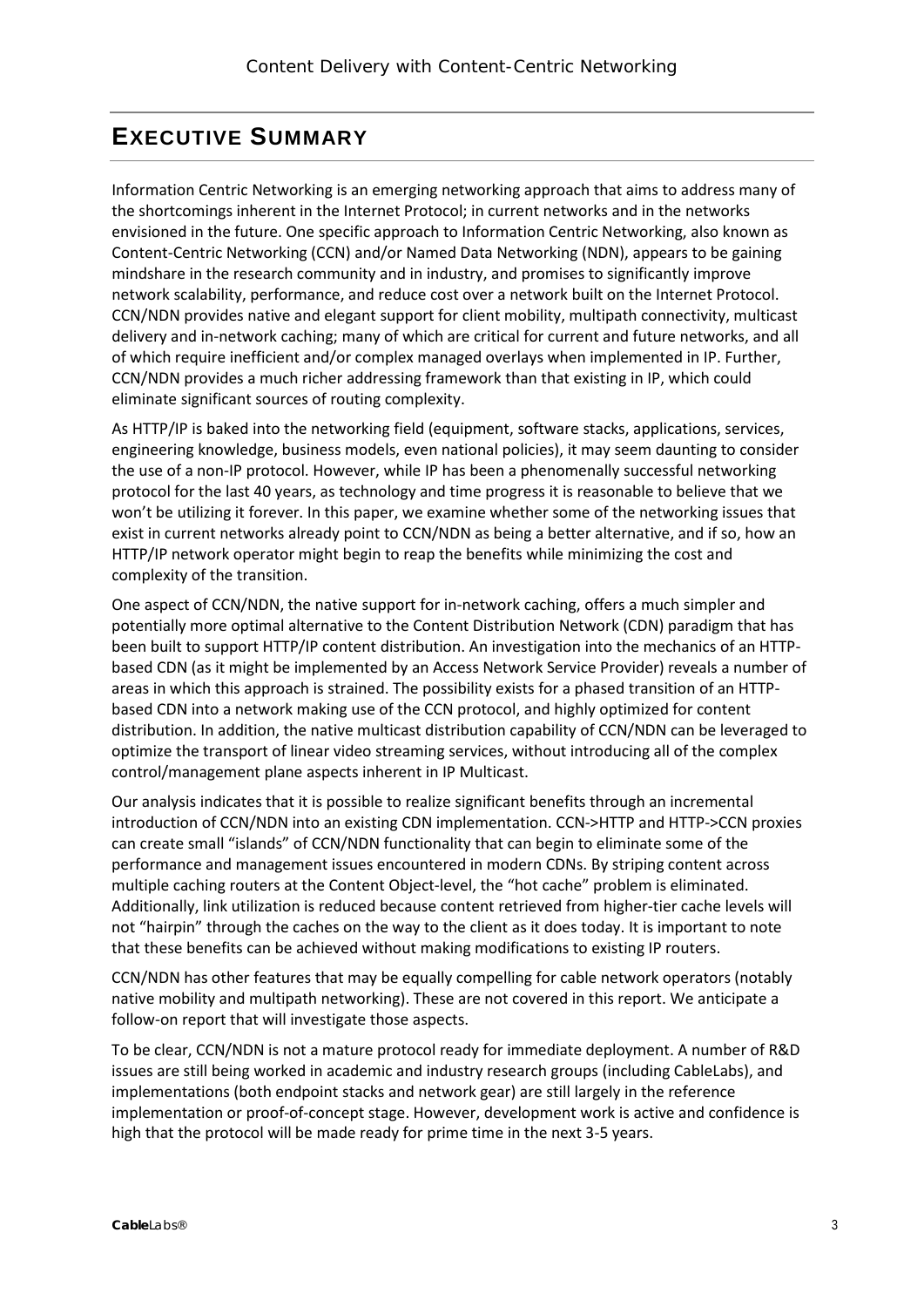## <span id="page-2-0"></span>**EXECUTIVE SUMMARY**

Information Centric Networking is an emerging networking approach that aims to address many of the shortcomings inherent in the Internet Protocol; in current networks and in the networks envisioned in the future. One specific approach to Information Centric Networking, also known as Content-Centric Networking (CCN) and/or Named Data Networking (NDN), appears to be gaining mindshare in the research community and in industry, and promises to significantly improve network scalability, performance, and reduce cost over a network built on the Internet Protocol. CCN/NDN provides native and elegant support for client mobility, multipath connectivity, multicast delivery and in-network caching; many of which are critical for current and future networks, and all of which require inefficient and/or complex managed overlays when implemented in IP. Further, CCN/NDN provides a much richer addressing framework than that existing in IP, which could eliminate significant sources of routing complexity.

As HTTP/IP is baked into the networking field (equipment, software stacks, applications, services, engineering knowledge, business models, even national policies), it may seem daunting to consider the use of a non-IP protocol. However, while IP has been a phenomenally successful networking protocol for the last 40 years, as technology and time progress it is reasonable to believe that we won't be utilizing it forever. In this paper, we examine whether some of the networking issues that exist in current networks already point to CCN/NDN as being a better alternative, and if so, how an HTTP/IP network operator might begin to reap the benefits while minimizing the cost and complexity of the transition.

One aspect of CCN/NDN, the native support for in-network caching, offers a much simpler and potentially more optimal alternative to the Content Distribution Network (CDN) paradigm that has been built to support HTTP/IP content distribution. An investigation into the mechanics of an HTTPbased CDN (as it might be implemented by an Access Network Service Provider) reveals a number of areas in which this approach is strained. The possibility exists for a phased transition of an HTTPbased CDN into a network making use of the CCN protocol, and highly optimized for content distribution. In addition, the native multicast distribution capability of CCN/NDN can be leveraged to optimize the transport of linear video streaming services, without introducing all of the complex control/management plane aspects inherent in IP Multicast.

Our analysis indicates that it is possible to realize significant benefits through an incremental introduction of CCN/NDN into an existing CDN implementation. CCN->HTTP and HTTP->CCN proxies can create small "islands" of CCN/NDN functionality that can begin to eliminate some of the performance and management issues encountered in modern CDNs. By striping content across multiple caching routers at the Content Object-level, the "hot cache" problem is eliminated. Additionally, link utilization is reduced because content retrieved from higher-tier cache levels will not "hairpin" through the caches on the way to the client as it does today. It is important to note that these benefits can be achieved without making modifications to existing IP routers.

CCN/NDN has other features that may be equally compelling for cable network operators (notably native mobility and multipath networking). These are not covered in this report. We anticipate a follow-on report that will investigate those aspects.

To be clear, CCN/NDN is not a mature protocol ready for immediate deployment. A number of R&D issues are still being worked in academic and industry research groups (including CableLabs), and implementations (both endpoint stacks and network gear) are still largely in the reference implementation or proof-of-concept stage. However, development work is active and confidence is high that the protocol will be made ready for prime time in the next 3-5 years.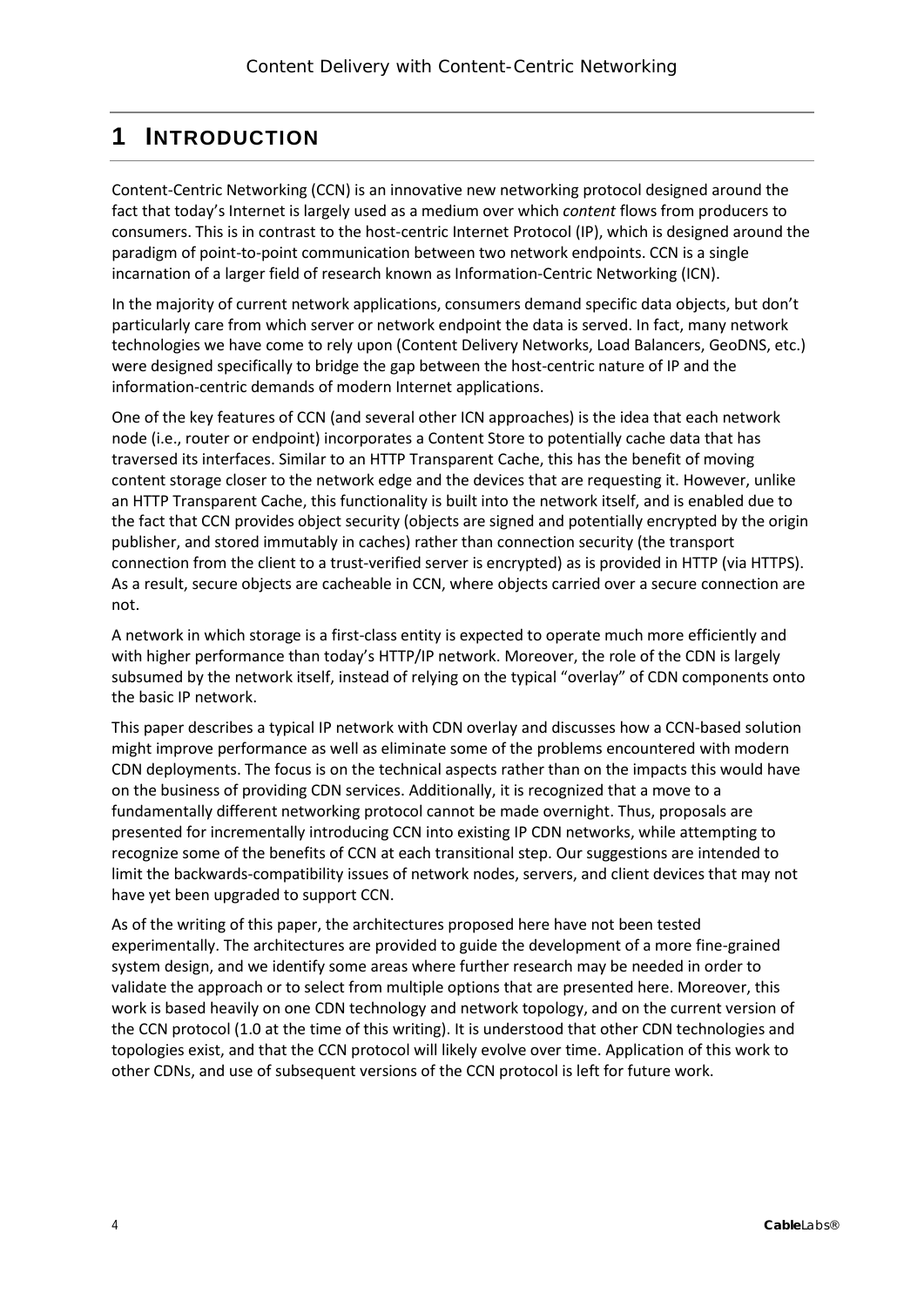# <span id="page-3-0"></span>**1 INTRODUCTION**

Content-Centric Networking (CCN) is an innovative new networking protocol designed around the fact that today's Internet is largely used as a medium over which *content* flows from producers to consumers. This is in contrast to the host-centric Internet Protocol (IP), which is designed around the paradigm of point-to-point communication between two network endpoints. CCN is a single incarnation of a larger field of research known as Information-Centric Networking (ICN).

In the majority of current network applications, consumers demand specific data objects, but don't particularly care from which server or network endpoint the data is served. In fact, many network technologies we have come to rely upon (Content Delivery Networks, Load Balancers, GeoDNS, etc.) were designed specifically to bridge the gap between the host-centric nature of IP and the information-centric demands of modern Internet applications.

One of the key features of CCN (and several other ICN approaches) is the idea that each network node (i.e., router or endpoint) incorporates a Content Store to potentially cache data that has traversed its interfaces. Similar to an HTTP Transparent Cache, this has the benefit of moving content storage closer to the network edge and the devices that are requesting it. However, unlike an HTTP Transparent Cache, this functionality is built into the network itself, and is enabled due to the fact that CCN provides object security (objects are signed and potentially encrypted by the origin publisher, and stored immutably in caches) rather than connection security (the transport connection from the client to a trust-verified server is encrypted) as is provided in HTTP (via HTTPS). As a result, secure objects are cacheable in CCN, where objects carried over a secure connection are not.

A network in which storage is a first-class entity is expected to operate much more efficiently and with higher performance than today's HTTP/IP network. Moreover, the role of the CDN is largely subsumed by the network itself, instead of relying on the typical "overlay" of CDN components onto the basic IP network.

This paper describes a typical IP network with CDN overlay and discusses how a CCN-based solution might improve performance as well as eliminate some of the problems encountered with modern CDN deployments. The focus is on the technical aspects rather than on the impacts this would have on the business of providing CDN services. Additionally, it is recognized that a move to a fundamentally different networking protocol cannot be made overnight. Thus, proposals are presented for incrementally introducing CCN into existing IP CDN networks, while attempting to recognize some of the benefits of CCN at each transitional step. Our suggestions are intended to limit the backwards-compatibility issues of network nodes, servers, and client devices that may not have yet been upgraded to support CCN.

As of the writing of this paper, the architectures proposed here have not been tested experimentally. The architectures are provided to guide the development of a more fine-grained system design, and we identify some areas where further research may be needed in order to validate the approach or to select from multiple options that are presented here. Moreover, this work is based heavily on one CDN technology and network topology, and on the current version of the CCN protocol (1.0 at the time of this writing). It is understood that other CDN technologies and topologies exist, and that the CCN protocol will likely evolve over time. Application of this work to other CDNs, and use of subsequent versions of the CCN protocol is left for future work.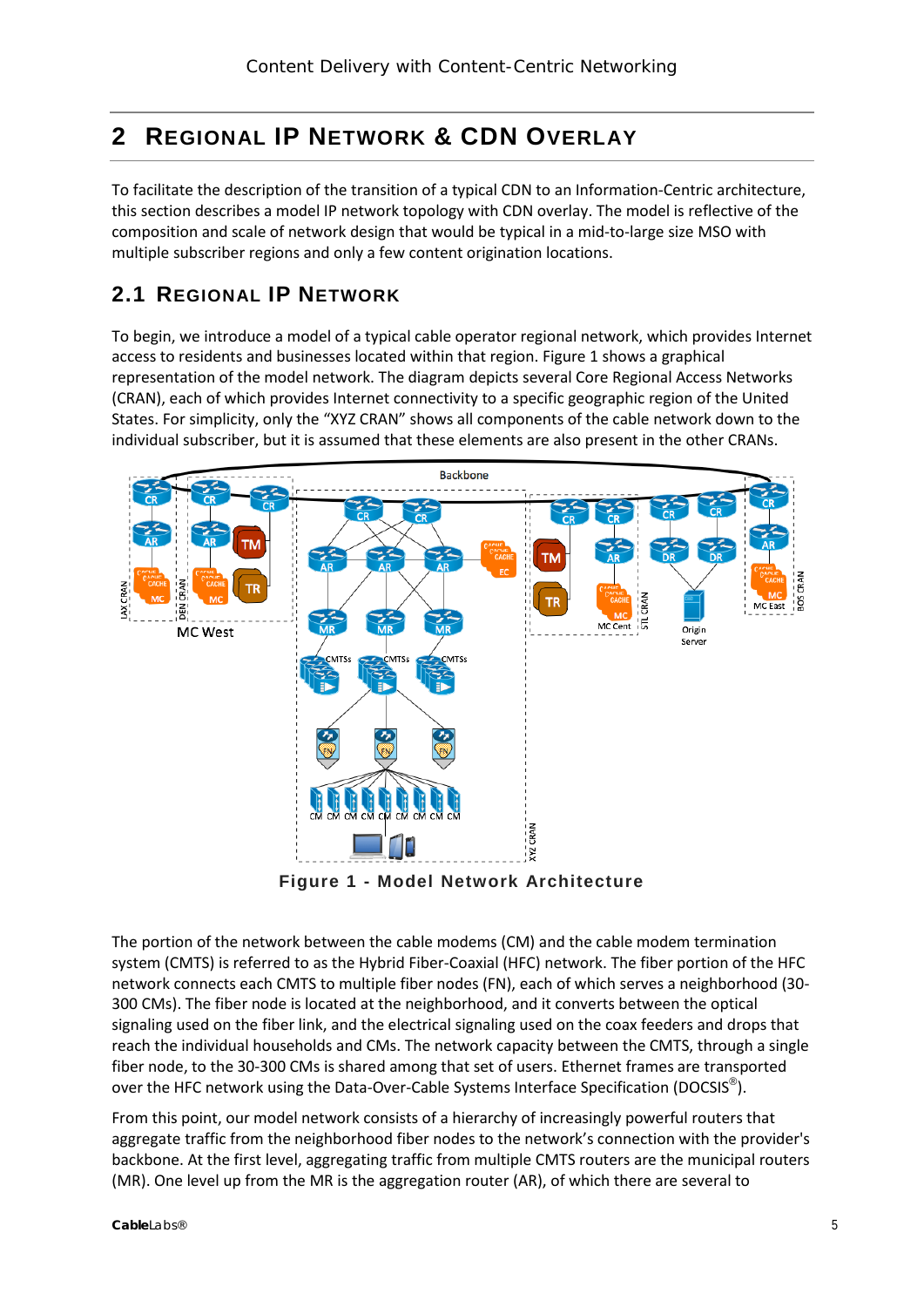# <span id="page-4-0"></span>**2 REGIONAL IP NETWORK & CDN OVERLAY**

To facilitate the description of the transition of a typical CDN to an Information-Centric architecture, this section describes a model IP network topology with CDN overlay. The model is reflective of the composition and scale of network design that would be typical in a mid-to-large size MSO with multiple subscriber regions and only a few content origination locations.

### <span id="page-4-1"></span>**2.1 REGIONAL IP NETWORK**

To begin, we introduce a model of a typical cable operator regional network, which provides Internet access to residents and businesses located within that region. [Figure 1](#page-4-2) shows a graphical representation of the model network. The diagram depicts several Core Regional Access Networks (CRAN), each of which provides Internet connectivity to a specific geographic region of the United States. For simplicity, only the "XYZ CRAN" shows all components of the cable network down to the individual subscriber, but it is assumed that these elements are also present in the other CRANs.



**Figure 1 - Model Network Architecture**

<span id="page-4-2"></span>The portion of the network between the cable modems (CM) and the cable modem termination system (CMTS) is referred to as the Hybrid Fiber-Coaxial (HFC) network. The fiber portion of the HFC network connects each CMTS to multiple fiber nodes (FN), each of which serves a neighborhood (30- 300 CMs). The fiber node is located at the neighborhood, and it converts between the optical signaling used on the fiber link, and the electrical signaling used on the coax feeders and drops that reach the individual households and CMs. The network capacity between the CMTS, through a single fiber node, to the 30-300 CMs is shared among that set of users. Ethernet frames are transported over the HFC network using the Data-Over-Cable Systems Interface Specification (DOCSIS<sup>®</sup>).

From this point, our model network consists of a hierarchy of increasingly powerful routers that aggregate traffic from the neighborhood fiber nodes to the network's connection with the provider's backbone. At the first level, aggregating traffic from multiple CMTS routers are the municipal routers (MR). One level up from the MR is the aggregation router (AR), of which there are several to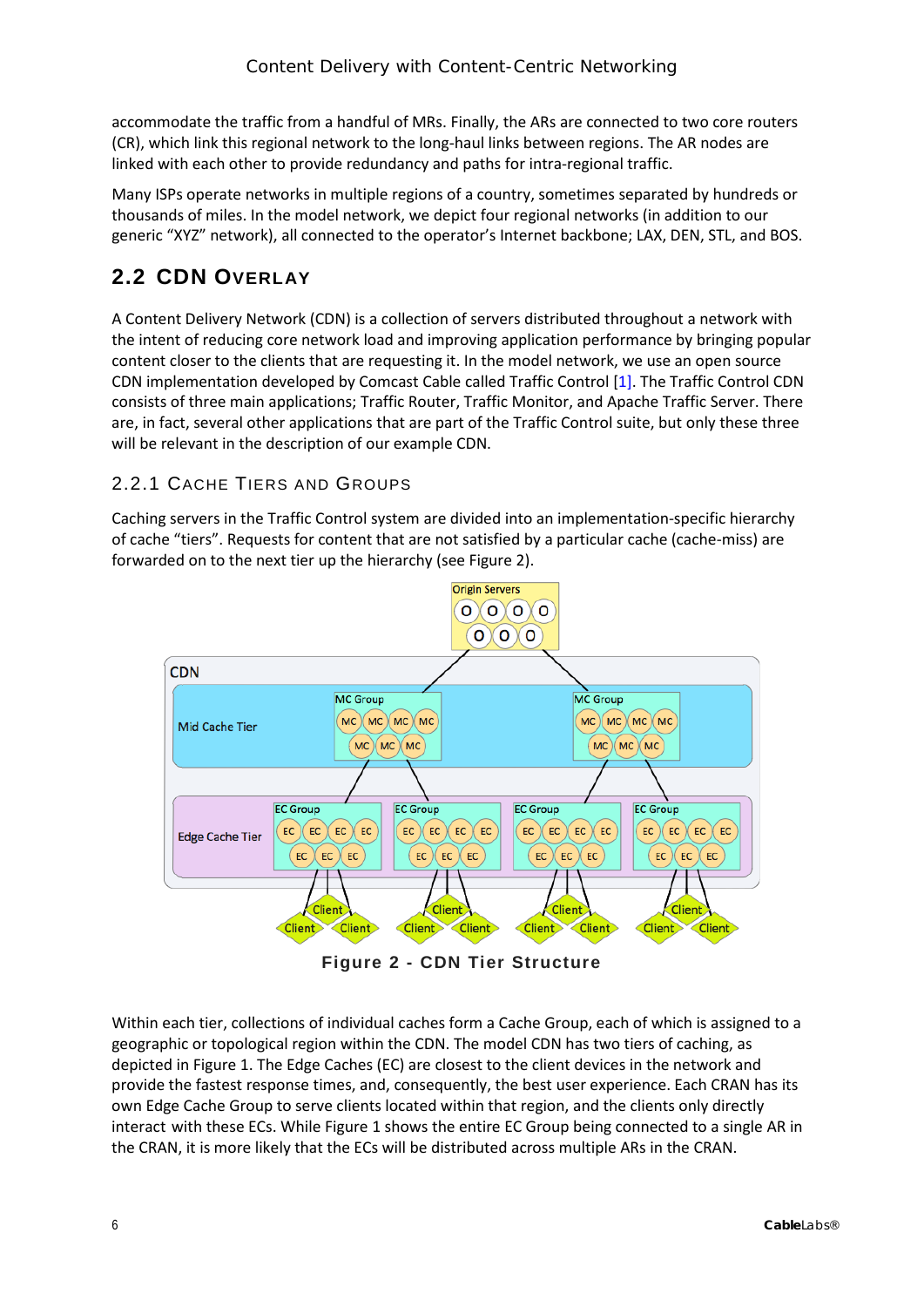accommodate the traffic from a handful of MRs. Finally, the ARs are connected to two core routers (CR), which link this regional network to the long-haul links between regions. The AR nodes are linked with each other to provide redundancy and paths for intra-regional traffic.

Many ISPs operate networks in multiple regions of a country, sometimes separated by hundreds or thousands of miles. In the model network, we depict four regional networks (in addition to our generic "XYZ" network), all connected to the operator's Internet backbone; LAX, DEN, STL, and BOS.

## <span id="page-5-0"></span>**2.2 CDN OVERLAY**

A Content Delivery Network (CDN) is a collection of servers distributed throughout a network with the intent of reducing core network load and improving application performance by bringing popular content closer to the clients that are requesting it. In the model network, we use an open source CDN implementation developed by Comcast Cable called Traffic Control [\[1\].](http://traffic-control-cdn.net/) The Traffic Control CDN consists of three main applications; Traffic Router, Traffic Monitor, and Apache Traffic Server. There are, in fact, several other applications that are part of the Traffic Control suite, but only these three will be relevant in the description of our example CDN.

#### <span id="page-5-1"></span>2.2.1 CACHE TIERS AND GROUPS

Caching servers in the Traffic Control system are divided into an implementation-specific hierarchy of cache "tiers". Requests for content that are not satisfied by a particular cache (cache-miss) are forwarded on to the next tier up the hierarchy (see [Figure 2\)](#page-5-2).



**Figure 2 - CDN Tier Structure**

<span id="page-5-2"></span>Within each tier, collections of individual caches form a Cache Group, each of which is assigned to a geographic or topological region within the CDN. The model CDN has two tiers of caching, as depicted i[n Figure 1.](#page-4-2) The Edge Caches (EC) are closest to the client devices in the network and provide the fastest response times, and, consequently, the best user experience. Each CRAN has its own Edge Cache Group to serve clients located within that region, and the clients only directly interact with these ECs. While [Figure 1](#page-4-2) shows the entire EC Group being connected to a single AR in the CRAN, it is more likely that the ECs will be distributed across multiple ARs in the CRAN.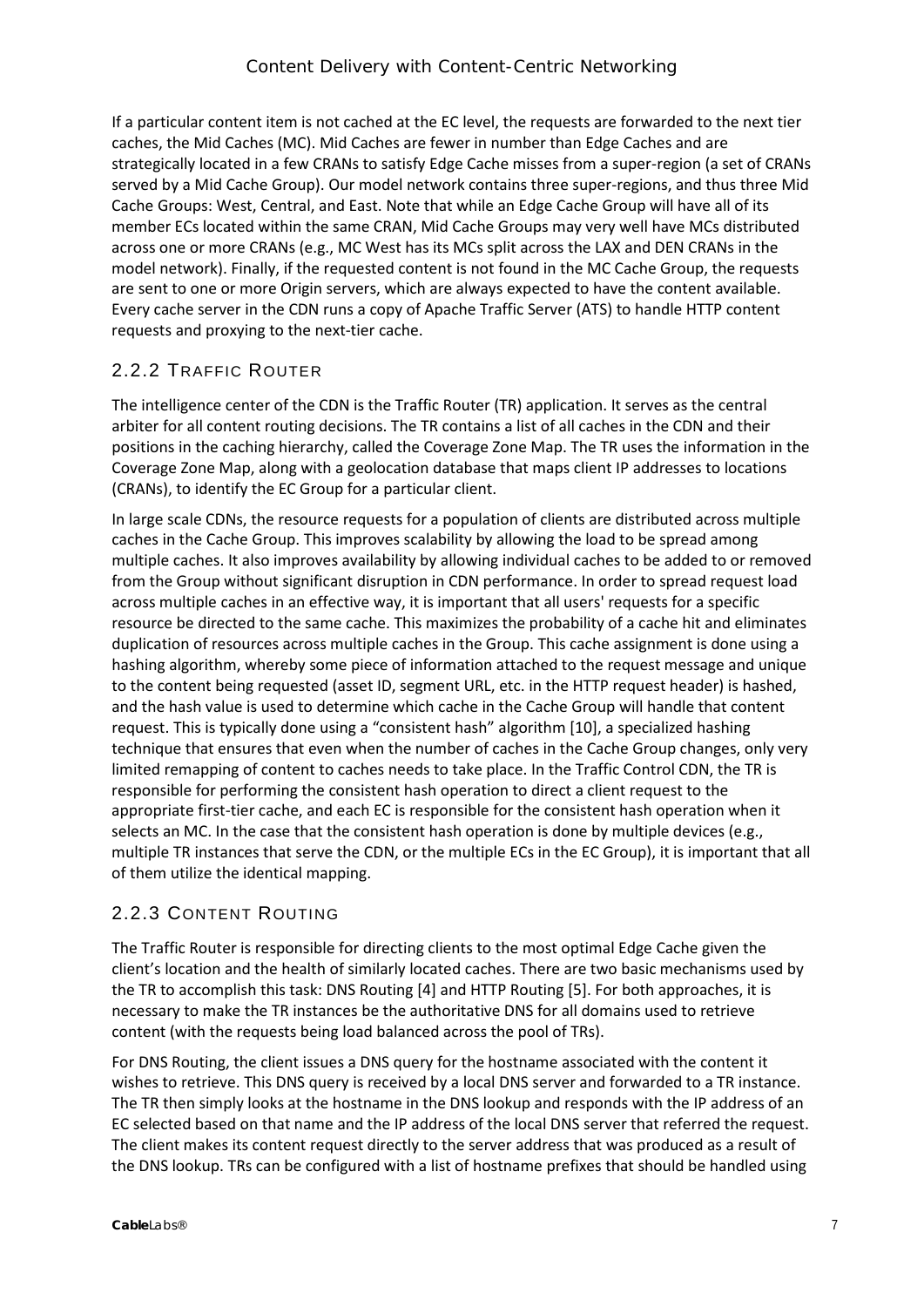If a particular content item is not cached at the EC level, the requests are forwarded to the next tier caches, the Mid Caches (MC). Mid Caches are fewer in number than Edge Caches and are strategically located in a few CRANs to satisfy Edge Cache misses from a super-region (a set of CRANs served by a Mid Cache Group). Our model network contains three super-regions, and thus three Mid Cache Groups: West, Central, and East. Note that while an Edge Cache Group will have all of its member ECs located within the same CRAN, Mid Cache Groups may very well have MCs distributed across one or more CRANs (e.g., MC West has its MCs split across the LAX and DEN CRANs in the model network). Finally, if the requested content is not found in the MC Cache Group, the requests are sent to one or more Origin servers, which are always expected to have the content available. Every cache server in the CDN runs a copy of Apache Traffic Server (ATS) to handle HTTP content requests and proxying to the next-tier cache.

#### <span id="page-6-0"></span>2.2.2 TRAFFIC ROUTER

The intelligence center of the CDN is the Traffic Router (TR) application. It serves as the central arbiter for all content routing decisions. The TR contains a list of all caches in the CDN and their positions in the caching hierarchy, called the Coverage Zone Map. The TR uses the information in the Coverage Zone Map, along with a geolocation database that maps client IP addresses to locations (CRANs), to identify the EC Group for a particular client.

In large scale CDNs, the resource requests for a population of clients are distributed across multiple caches in the Cache Group. This improves scalability by allowing the load to be spread among multiple caches. It also improves availability by allowing individual caches to be added to or removed from the Group without significant disruption in CDN performance. In order to spread request load across multiple caches in an effective way, it is important that all users' requests for a specific resource be directed to the same cache. This maximizes the probability of a cache hit and eliminates duplication of resources across multiple caches in the Group. This cache assignment is done using a hashing algorithm, whereby some piece of information attached to the request message and unique to the content being requested (asset ID, segment URL, etc. in the HTTP request header) is hashed, and the hash value is used to determine which cache in the Cache Group will handle that content request. This is typically done using a "consistent hash" algorithm [10], a specialized hashing technique that ensures that even when the number of caches in the Cache Group changes, only very limited remapping of content to caches needs to take place. In the Traffic Control CDN, the TR is responsible for performing the consistent hash operation to direct a client request to the appropriate first-tier cache, and each EC is responsible for the consistent hash operation when it selects an MC. In the case that the consistent hash operation is done by multiple devices (e.g., multiple TR instances that serve the CDN, or the multiple ECs in the EC Group), it is important that all of them utilize the identical mapping.

#### <span id="page-6-1"></span>2.2.3 CONTENT ROUTING

The Traffic Router is responsible for directing clients to the most optimal Edge Cache given the client's location and the health of similarly located caches. There are two basic mechanisms used by the TR to accomplish this task: DNS Routing [4] and HTTP Routing [5]. For both approaches, it is necessary to make the TR instances be the authoritative DNS for all domains used to retrieve content (with the requests being load balanced across the pool of TRs).

For DNS Routing, the client issues a DNS query for the hostname associated with the content it wishes to retrieve. This DNS query is received by a local DNS server and forwarded to a TR instance. The TR then simply looks at the hostname in the DNS lookup and responds with the IP address of an EC selected based on that name and the IP address of the local DNS server that referred the request. The client makes its content request directly to the server address that was produced as a result of the DNS lookup. TRs can be configured with a list of hostname prefixes that should be handled using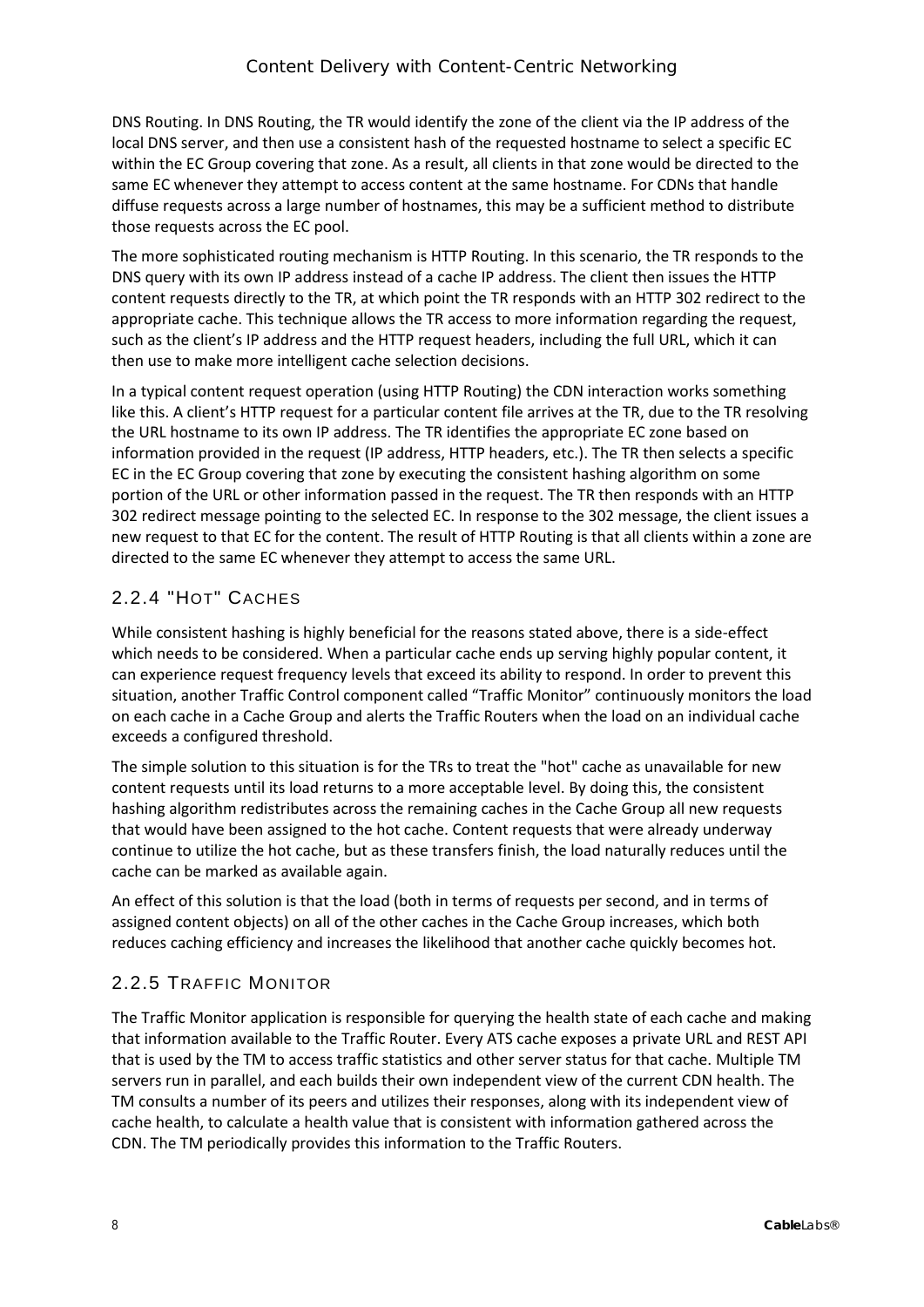DNS Routing. In DNS Routing, the TR would identify the zone of the client via the IP address of the local DNS server, and then use a consistent hash of the requested hostname to select a specific EC within the EC Group covering that zone. As a result, all clients in that zone would be directed to the same EC whenever they attempt to access content at the same hostname. For CDNs that handle diffuse requests across a large number of hostnames, this may be a sufficient method to distribute those requests across the EC pool.

The more sophisticated routing mechanism is HTTP Routing. In this scenario, the TR responds to the DNS query with its own IP address instead of a cache IP address. The client then issues the HTTP content requests directly to the TR, at which point the TR responds with an HTTP 302 redirect to the appropriate cache. This technique allows the TR access to more information regarding the request, such as the client's IP address and the HTTP request headers, including the full URL, which it can then use to make more intelligent cache selection decisions.

In a typical content request operation (using HTTP Routing) the CDN interaction works something like this. A client's HTTP request for a particular content file arrives at the TR, due to the TR resolving the URL hostname to its own IP address. The TR identifies the appropriate EC zone based on information provided in the request (IP address, HTTP headers, etc.). The TR then selects a specific EC in the EC Group covering that zone by executing the consistent hashing algorithm on some portion of the URL or other information passed in the request. The TR then responds with an HTTP 302 redirect message pointing to the selected EC. In response to the 302 message, the client issues a new request to that EC for the content. The result of HTTP Routing is that all clients within a zone are directed to the same EC whenever they attempt to access the same URL.

#### <span id="page-7-0"></span>2.2.4 "HOT" CACHES

While consistent hashing is highly beneficial for the reasons stated above, there is a side-effect which needs to be considered. When a particular cache ends up serving highly popular content, it can experience request frequency levels that exceed its ability to respond. In order to prevent this situation, another Traffic Control component called "Traffic Monitor" continuously monitors the load on each cache in a Cache Group and alerts the Traffic Routers when the load on an individual cache exceeds a configured threshold.

The simple solution to this situation is for the TRs to treat the "hot" cache as unavailable for new content requests until its load returns to a more acceptable level. By doing this, the consistent hashing algorithm redistributes across the remaining caches in the Cache Group all new requests that would have been assigned to the hot cache. Content requests that were already underway continue to utilize the hot cache, but as these transfers finish, the load naturally reduces until the cache can be marked as available again.

An effect of this solution is that the load (both in terms of requests per second, and in terms of assigned content objects) on all of the other caches in the Cache Group increases, which both reduces caching efficiency and increases the likelihood that another cache quickly becomes hot.

#### <span id="page-7-1"></span>2.2.5 TRAFFIC MONITOR

The Traffic Monitor application is responsible for querying the health state of each cache and making that information available to the Traffic Router. Every ATS cache exposes a private URL and REST API that is used by the TM to access traffic statistics and other server status for that cache. Multiple TM servers run in parallel, and each builds their own independent view of the current CDN health. The TM consults a number of its peers and utilizes their responses, along with its independent view of cache health, to calculate a health value that is consistent with information gathered across the CDN. The TM periodically provides this information to the Traffic Routers.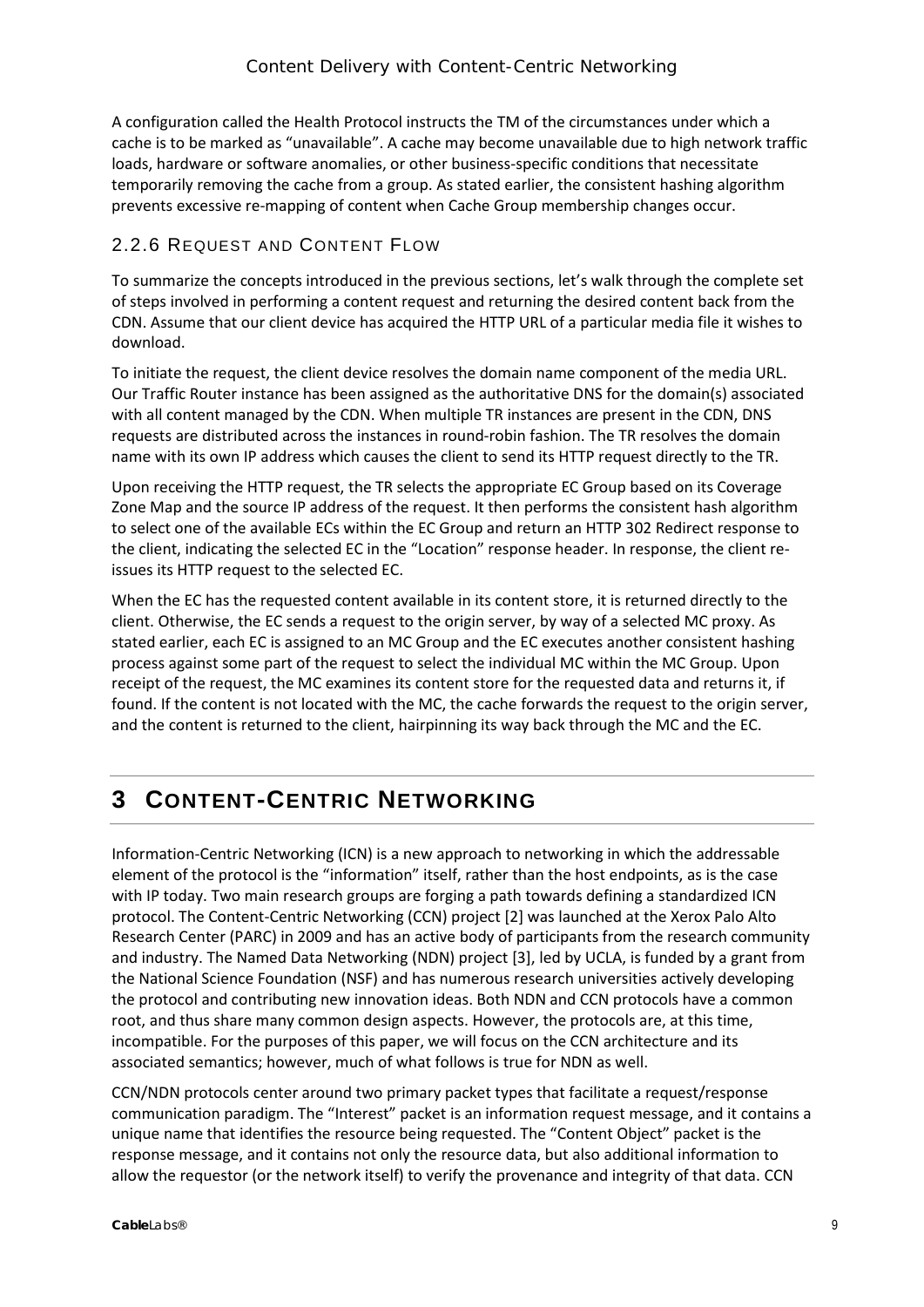A configuration called the Health Protocol instructs the TM of the circumstances under which a cache is to be marked as "unavailable". A cache may become unavailable due to high network traffic loads, hardware or software anomalies, or other business-specific conditions that necessitate temporarily removing the cache from a group. As stated earlier, the consistent hashing algorithm prevents excessive re-mapping of content when Cache Group membership changes occur.

#### <span id="page-8-0"></span>2.2.6 REQUEST AND CONTENT FLOW

To summarize the concepts introduced in the previous sections, let's walk through the complete set of steps involved in performing a content request and returning the desired content back from the CDN. Assume that our client device has acquired the HTTP URL of a particular media file it wishes to download.

To initiate the request, the client device resolves the domain name component of the media URL. Our Traffic Router instance has been assigned as the authoritative DNS for the domain(s) associated with all content managed by the CDN. When multiple TR instances are present in the CDN, DNS requests are distributed across the instances in round-robin fashion. The TR resolves the domain name with its own IP address which causes the client to send its HTTP request directly to the TR.

Upon receiving the HTTP request, the TR selects the appropriate EC Group based on its Coverage Zone Map and the source IP address of the request. It then performs the consistent hash algorithm to select one of the available ECs within the EC Group and return an HTTP 302 Redirect response to the client, indicating the selected EC in the "Location" response header. In response, the client reissues its HTTP request to the selected EC.

When the EC has the requested content available in its content store, it is returned directly to the client. Otherwise, the EC sends a request to the origin server, by way of a selected MC proxy. As stated earlier, each EC is assigned to an MC Group and the EC executes another consistent hashing process against some part of the request to select the individual MC within the MC Group. Upon receipt of the request, the MC examines its content store for the requested data and returns it, if found. If the content is not located with the MC, the cache forwards the request to the origin server, and the content is returned to the client, hairpinning its way back through the MC and the EC.

### <span id="page-8-1"></span>**3 CONTENT-CENTRIC NETWORKING**

Information-Centric Networking (ICN) is a new approach to networking in which the addressable element of the protocol is the "information" itself, rather than the host endpoints, as is the case with IP today. Two main research groups are forging a path towards defining a standardized ICN protocol. The Content-Centric Networking (CCN) project [2] was launched at the Xerox Palo Alto Research Center (PARC) in 2009 and has an active body of participants from the research community and industry. The Named Data Networking (NDN) project [3], led by UCLA, is funded by a grant from the National Science Foundation (NSF) and has numerous research universities actively developing the protocol and contributing new innovation ideas. Both NDN and CCN protocols have a common root, and thus share many common design aspects. However, the protocols are, at this time, incompatible. For the purposes of this paper, we will focus on the CCN architecture and its associated semantics; however, much of what follows is true for NDN as well.

CCN/NDN protocols center around two primary packet types that facilitate a request/response communication paradigm. The "Interest" packet is an information request message, and it contains a unique name that identifies the resource being requested. The "Content Object" packet is the response message, and it contains not only the resource data, but also additional information to allow the requestor (or the network itself) to verify the provenance and integrity of that data. CCN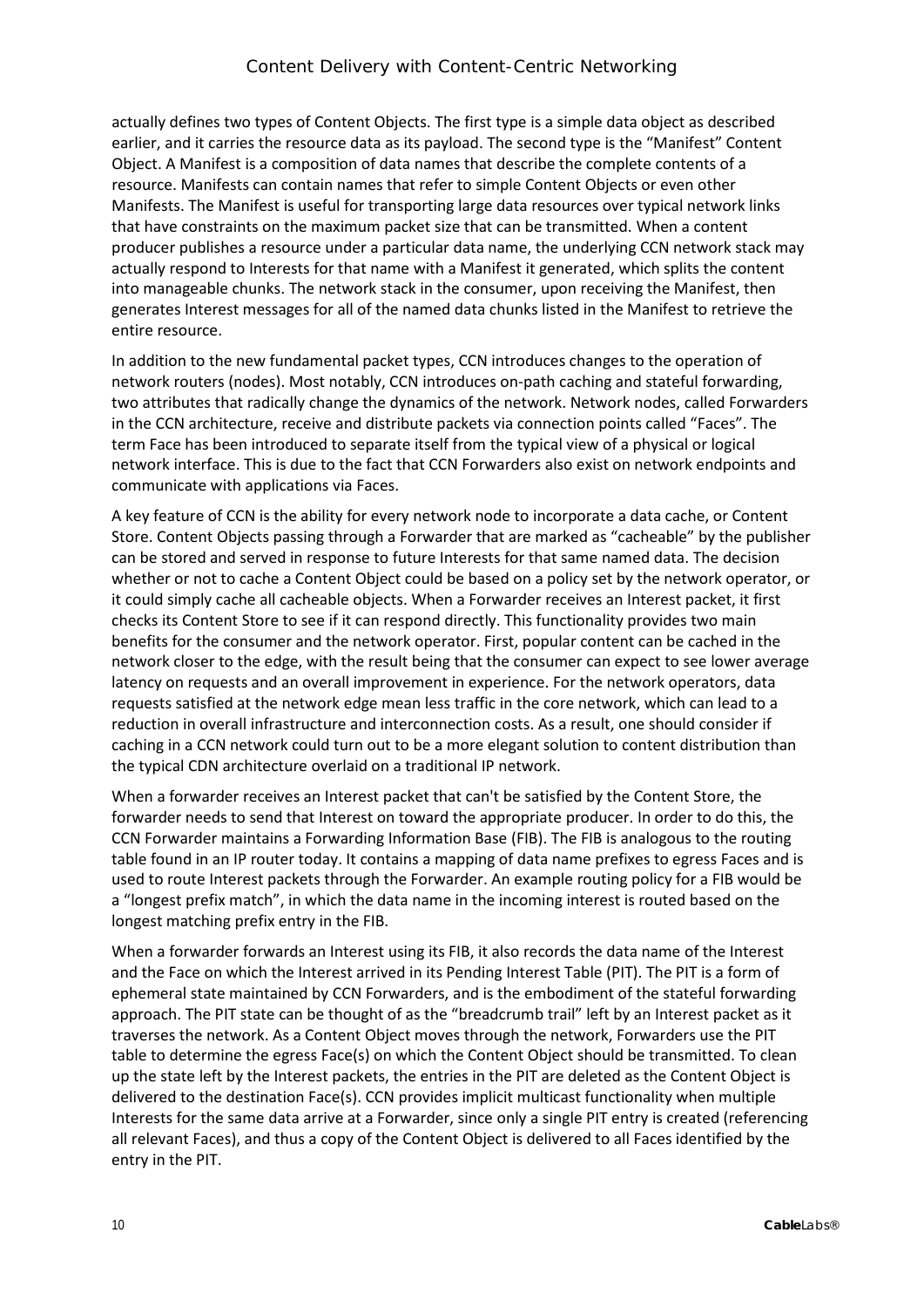actually defines two types of Content Objects. The first type is a simple data object as described earlier, and it carries the resource data as its payload. The second type is the "Manifest" Content Object. A Manifest is a composition of data names that describe the complete contents of a resource. Manifests can contain names that refer to simple Content Objects or even other Manifests. The Manifest is useful for transporting large data resources over typical network links that have constraints on the maximum packet size that can be transmitted. When a content producer publishes a resource under a particular data name, the underlying CCN network stack may actually respond to Interests for that name with a Manifest it generated, which splits the content into manageable chunks. The network stack in the consumer, upon receiving the Manifest, then generates Interest messages for all of the named data chunks listed in the Manifest to retrieve the entire resource.

In addition to the new fundamental packet types, CCN introduces changes to the operation of network routers (nodes). Most notably, CCN introduces on-path caching and stateful forwarding, two attributes that radically change the dynamics of the network. Network nodes, called Forwarders in the CCN architecture, receive and distribute packets via connection points called "Faces". The term Face has been introduced to separate itself from the typical view of a physical or logical network interface. This is due to the fact that CCN Forwarders also exist on network endpoints and communicate with applications via Faces.

A key feature of CCN is the ability for every network node to incorporate a data cache, or Content Store. Content Objects passing through a Forwarder that are marked as "cacheable" by the publisher can be stored and served in response to future Interests for that same named data. The decision whether or not to cache a Content Object could be based on a policy set by the network operator, or it could simply cache all cacheable objects. When a Forwarder receives an Interest packet, it first checks its Content Store to see if it can respond directly. This functionality provides two main benefits for the consumer and the network operator. First, popular content can be cached in the network closer to the edge, with the result being that the consumer can expect to see lower average latency on requests and an overall improvement in experience. For the network operators, data requests satisfied at the network edge mean less traffic in the core network, which can lead to a reduction in overall infrastructure and interconnection costs. As a result, one should consider if caching in a CCN network could turn out to be a more elegant solution to content distribution than the typical CDN architecture overlaid on a traditional IP network.

When a forwarder receives an Interest packet that can't be satisfied by the Content Store, the forwarder needs to send that Interest on toward the appropriate producer. In order to do this, the CCN Forwarder maintains a Forwarding Information Base (FIB). The FIB is analogous to the routing table found in an IP router today. It contains a mapping of data name prefixes to egress Faces and is used to route Interest packets through the Forwarder. An example routing policy for a FIB would be a "longest prefix match", in which the data name in the incoming interest is routed based on the longest matching prefix entry in the FIB.

When a forwarder forwards an Interest using its FIB, it also records the data name of the Interest and the Face on which the Interest arrived in its Pending Interest Table (PIT). The PIT is a form of ephemeral state maintained by CCN Forwarders, and is the embodiment of the stateful forwarding approach. The PIT state can be thought of as the "breadcrumb trail" left by an Interest packet as it traverses the network. As a Content Object moves through the network, Forwarders use the PIT table to determine the egress Face(s) on which the Content Object should be transmitted. To clean up the state left by the Interest packets, the entries in the PIT are deleted as the Content Object is delivered to the destination Face(s). CCN provides implicit multicast functionality when multiple Interests for the same data arrive at a Forwarder, since only a single PIT entry is created (referencing all relevant Faces), and thus a copy of the Content Object is delivered to all Faces identified by the entry in the PIT.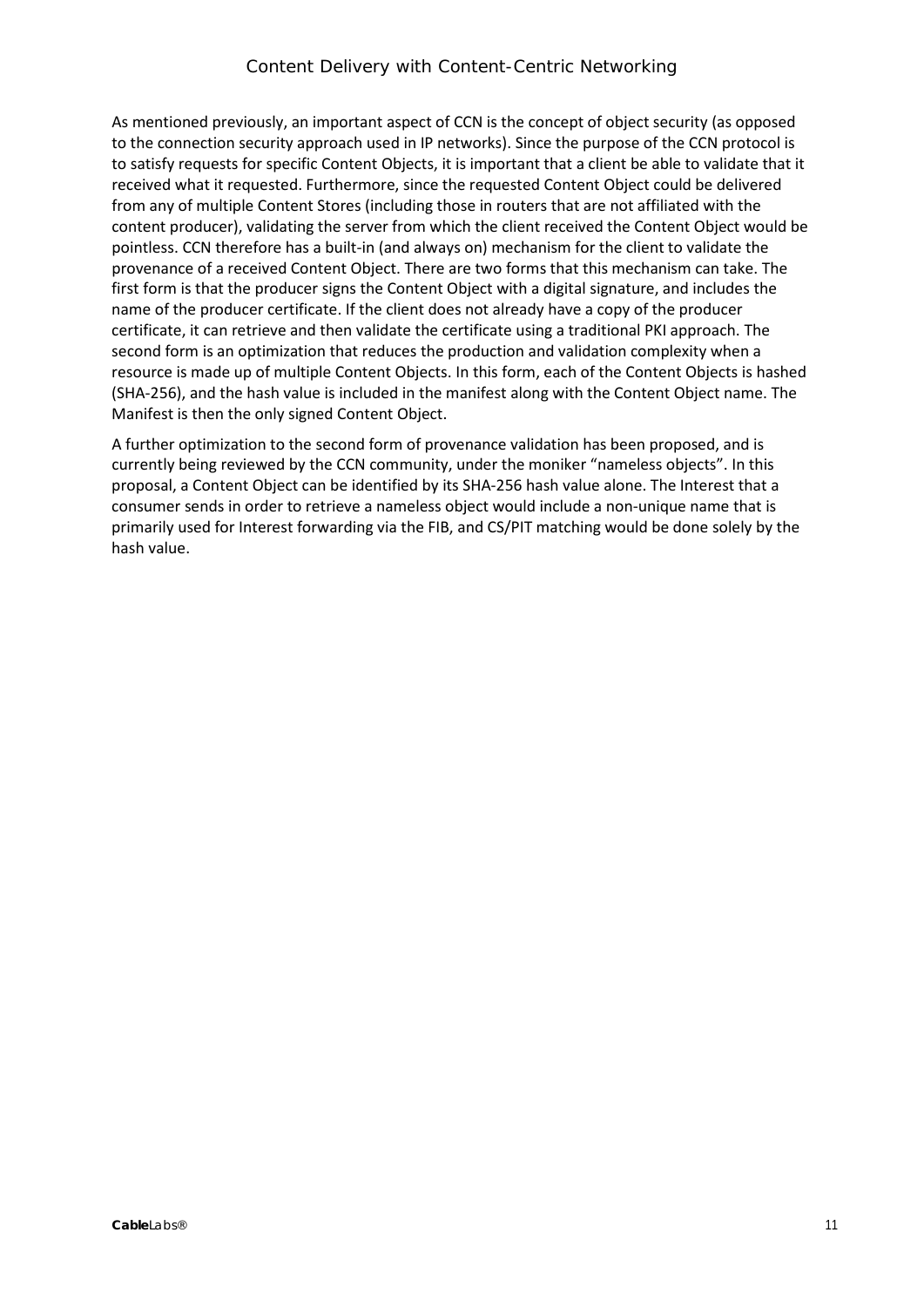As mentioned previously, an important aspect of CCN is the concept of object security (as opposed to the connection security approach used in IP networks). Since the purpose of the CCN protocol is to satisfy requests for specific Content Objects, it is important that a client be able to validate that it received what it requested. Furthermore, since the requested Content Object could be delivered from any of multiple Content Stores (including those in routers that are not affiliated with the content producer), validating the server from which the client received the Content Object would be pointless. CCN therefore has a built-in (and always on) mechanism for the client to validate the provenance of a received Content Object. There are two forms that this mechanism can take. The first form is that the producer signs the Content Object with a digital signature, and includes the name of the producer certificate. If the client does not already have a copy of the producer certificate, it can retrieve and then validate the certificate using a traditional PKI approach. The second form is an optimization that reduces the production and validation complexity when a resource is made up of multiple Content Objects. In this form, each of the Content Objects is hashed (SHA-256), and the hash value is included in the manifest along with the Content Object name. The Manifest is then the only signed Content Object.

A further optimization to the second form of provenance validation has been proposed, and is currently being reviewed by the CCN community, under the moniker "nameless objects". In this proposal, a Content Object can be identified by its SHA-256 hash value alone. The Interest that a consumer sends in order to retrieve a nameless object would include a non-unique name that is primarily used for Interest forwarding via the FIB, and CS/PIT matching would be done solely by the hash value.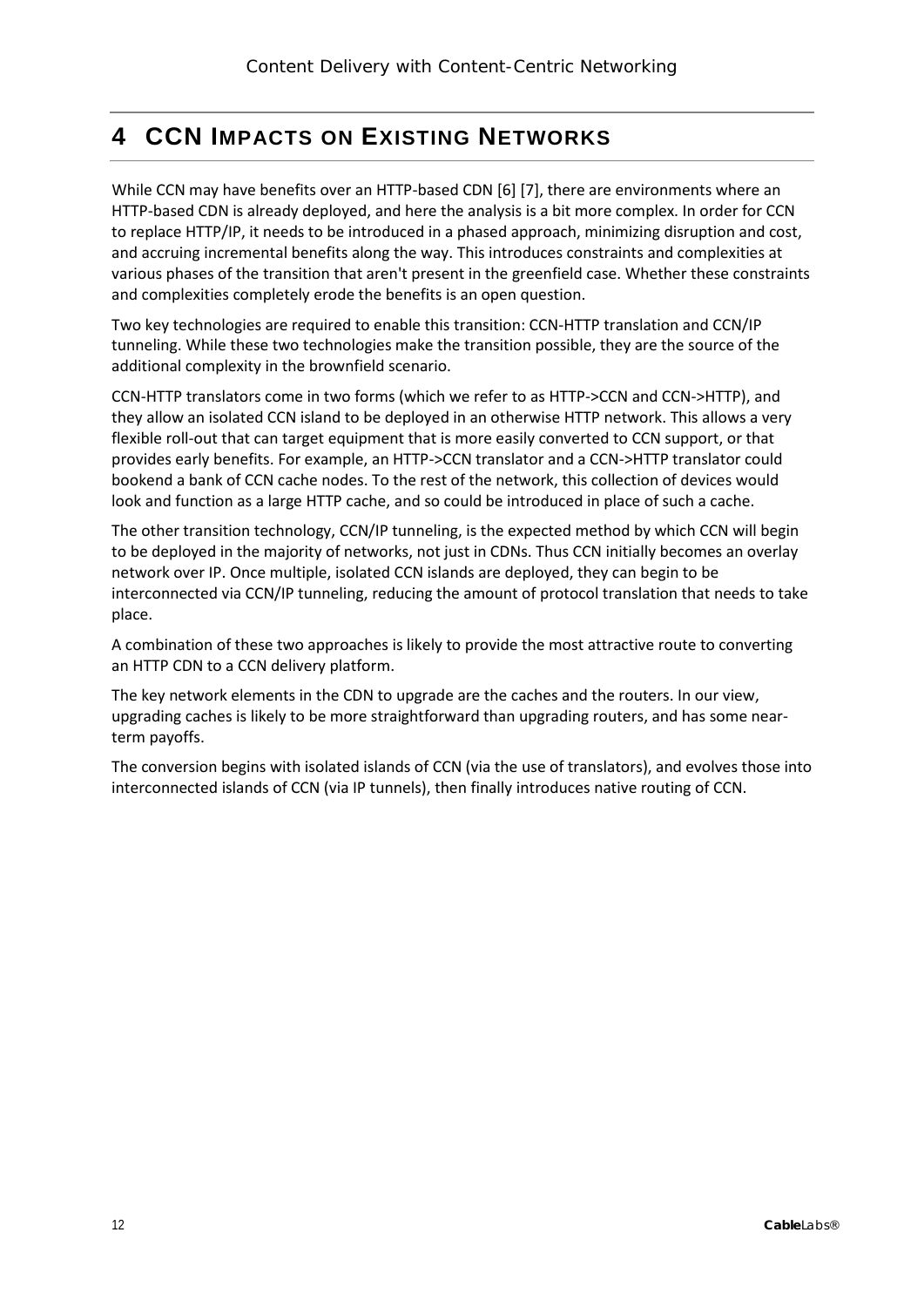# <span id="page-11-0"></span>**4 CCN IMPACTS ON EXISTING NETWORKS**

While CCN may have benefits over an HTTP-based CDN [6] [7], there are environments where an HTTP-based CDN is already deployed, and here the analysis is a bit more complex. In order for CCN to replace HTTP/IP, it needs to be introduced in a phased approach, minimizing disruption and cost, and accruing incremental benefits along the way. This introduces constraints and complexities at various phases of the transition that aren't present in the greenfield case. Whether these constraints and complexities completely erode the benefits is an open question.

Two key technologies are required to enable this transition: CCN-HTTP translation and CCN/IP tunneling. While these two technologies make the transition possible, they are the source of the additional complexity in the brownfield scenario.

CCN-HTTP translators come in two forms (which we refer to as HTTP->CCN and CCN->HTTP), and they allow an isolated CCN island to be deployed in an otherwise HTTP network. This allows a very flexible roll-out that can target equipment that is more easily converted to CCN support, or that provides early benefits. For example, an HTTP->CCN translator and a CCN->HTTP translator could bookend a bank of CCN cache nodes. To the rest of the network, this collection of devices would look and function as a large HTTP cache, and so could be introduced in place of such a cache.

The other transition technology, CCN/IP tunneling, is the expected method by which CCN will begin to be deployed in the majority of networks, not just in CDNs. Thus CCN initially becomes an overlay network over IP. Once multiple, isolated CCN islands are deployed, they can begin to be interconnected via CCN/IP tunneling, reducing the amount of protocol translation that needs to take place.

A combination of these two approaches is likely to provide the most attractive route to converting an HTTP CDN to a CCN delivery platform.

The key network elements in the CDN to upgrade are the caches and the routers. In our view, upgrading caches is likely to be more straightforward than upgrading routers, and has some nearterm payoffs.

The conversion begins with isolated islands of CCN (via the use of translators), and evolves those into interconnected islands of CCN (via IP tunnels), then finally introduces native routing of CCN.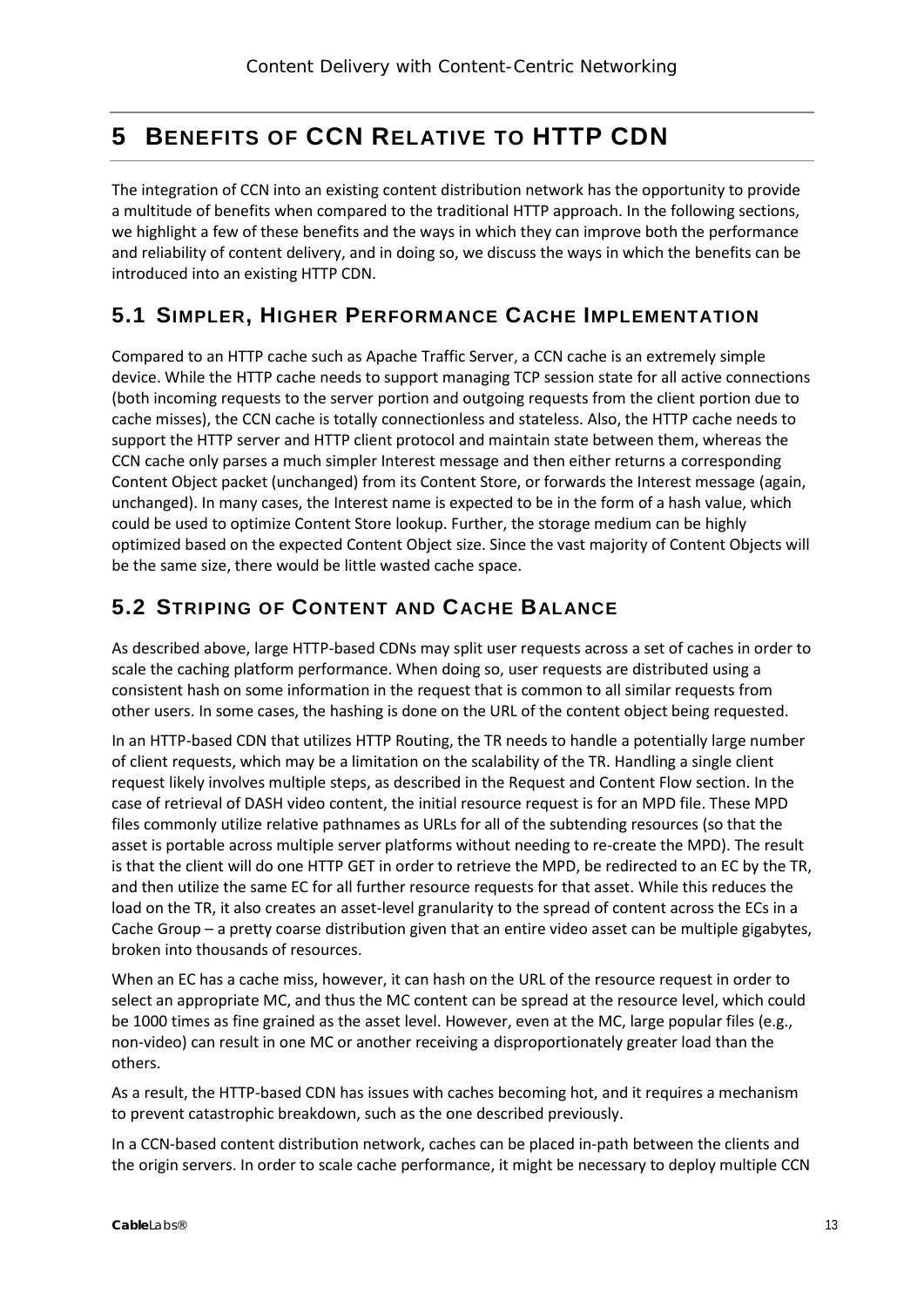# <span id="page-12-0"></span>**5 BENEFITS OF CCN RELATIVE TO HTTP CDN**

The integration of CCN into an existing content distribution network has the opportunity to provide a multitude of benefits when compared to the traditional HTTP approach. In the following sections, we highlight a few of these benefits and the ways in which they can improve both the performance and reliability of content delivery, and in doing so, we discuss the ways in which the benefits can be introduced into an existing HTTP CDN.

### <span id="page-12-1"></span>**5.1 SIMPLER, HIGHER PERFORMANCE CACHE IMPLEMENTATION**

Compared to an HTTP cache such as Apache Traffic Server, a CCN cache is an extremely simple device. While the HTTP cache needs to support managing TCP session state for all active connections (both incoming requests to the server portion and outgoing requests from the client portion due to cache misses), the CCN cache is totally connectionless and stateless. Also, the HTTP cache needs to support the HTTP server and HTTP client protocol and maintain state between them, whereas the CCN cache only parses a much simpler Interest message and then either returns a corresponding Content Object packet (unchanged) from its Content Store, or forwards the Interest message (again, unchanged). In many cases, the Interest name is expected to be in the form of a hash value, which could be used to optimize Content Store lookup. Further, the storage medium can be highly optimized based on the expected Content Object size. Since the vast majority of Content Objects will be the same size, there would be little wasted cache space.

### <span id="page-12-2"></span>**5.2 STRIPING OF CONTENT AND CACHE BALANCE**

As described above, large HTTP-based CDNs may split user requests across a set of caches in order to scale the caching platform performance. When doing so, user requests are distributed using a consistent hash on some information in the request that is common to all similar requests from other users. In some cases, the hashing is done on the URL of the content object being requested.

In an HTTP-based CDN that utilizes HTTP Routing, the TR needs to handle a potentially large number of client requests, which may be a limitation on the scalability of the TR. Handling a single client request likely involves multiple steps, as described in the [Request and Content Flow](#page-8-0) section. In the case of retrieval of DASH video content, the initial resource request is for an MPD file. These MPD files commonly utilize relative pathnames as URLs for all of the subtending resources (so that the asset is portable across multiple server platforms without needing to re-create the MPD). The result is that the client will do one HTTP GET in order to retrieve the MPD, be redirected to an EC by the TR, and then utilize the same EC for all further resource requests for that asset. While this reduces the load on the TR, it also creates an asset-level granularity to the spread of content across the ECs in a Cache Group – a pretty coarse distribution given that an entire video asset can be multiple gigabytes, broken into thousands of resources.

When an EC has a cache miss, however, it can hash on the URL of the resource request in order to select an appropriate MC, and thus the MC content can be spread at the resource level, which could be 1000 times as fine grained as the asset level. However, even at the MC, large popular files (e.g., non-video) can result in one MC or another receiving a disproportionately greater load than the others.

As a result, the HTTP-based CDN has issues with caches becoming hot, and it requires a mechanism to prevent catastrophic breakdown, such as the one described previously.

In a CCN-based content distribution network, caches can be placed in-path between the clients and the origin servers. In order to scale cache performance, it might be necessary to deploy multiple CCN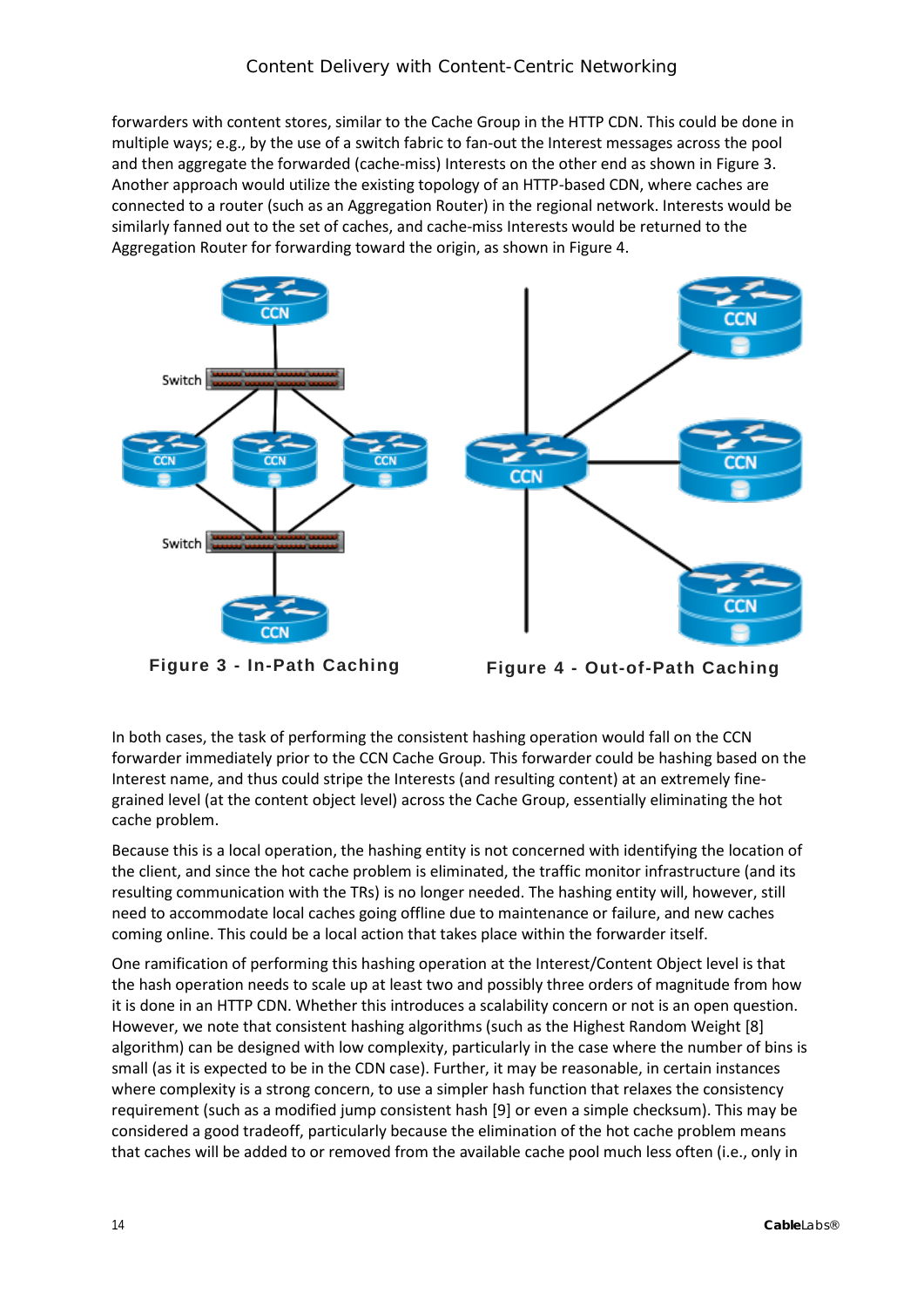forwarders with content stores, similar to the Cache Group in the HTTP CDN. This could be done in multiple ways; e.g., by the use of a switch fabric to fan-out the Interest messages across the pool and then aggregate the forwarded (cache-miss) Interests on the other end as shown i[n Figure 3.](#page-13-0) Another approach would utilize the existing topology of an HTTP-based CDN, where caches are connected to a router (such as an Aggregation Router) in the regional network. Interests would be similarly fanned out to the set of caches, and cache-miss Interests would be returned to the Aggregation Router for forwarding toward the origin, as shown in [Figure 4.](#page-13-1)



<span id="page-13-1"></span>

<span id="page-13-0"></span>**Figure 3 - In-Path Caching Figure 4 - Out-of-Path Caching**

In both cases, the task of performing the consistent hashing operation would fall on the CCN forwarder immediately prior to the CCN Cache Group. This forwarder could be hashing based on the Interest name, and thus could stripe the Interests (and resulting content) at an extremely finegrained level (at the content object level) across the Cache Group, essentially eliminating the hot cache problem.

Because this is a local operation, the hashing entity is not concerned with identifying the location of the client, and since the hot cache problem is eliminated, the traffic monitor infrastructure (and its resulting communication with the TRs) is no longer needed. The hashing entity will, however, still need to accommodate local caches going offline due to maintenance or failure, and new caches coming online. This could be a local action that takes place within the forwarder itself.

One ramification of performing this hashing operation at the Interest/Content Object level is that the hash operation needs to scale up at least two and possibly three orders of magnitude from how it is done in an HTTP CDN. Whether this introduces a scalability concern or not is an open question. However, we note that consistent hashing algorithms (such as the Highest Random Weight [8] algorithm) can be designed with low complexity, particularly in the case where the number of bins is small (as it is expected to be in the CDN case). Further, it may be reasonable, in certain instances where complexity is a strong concern, to use a simpler hash function that relaxes the consistency requirement (such as a modified jump consistent hash [9] or even a simple checksum). This may be considered a good tradeoff, particularly because the elimination of the hot cache problem means that caches will be added to or removed from the available cache pool much less often (i.e., only in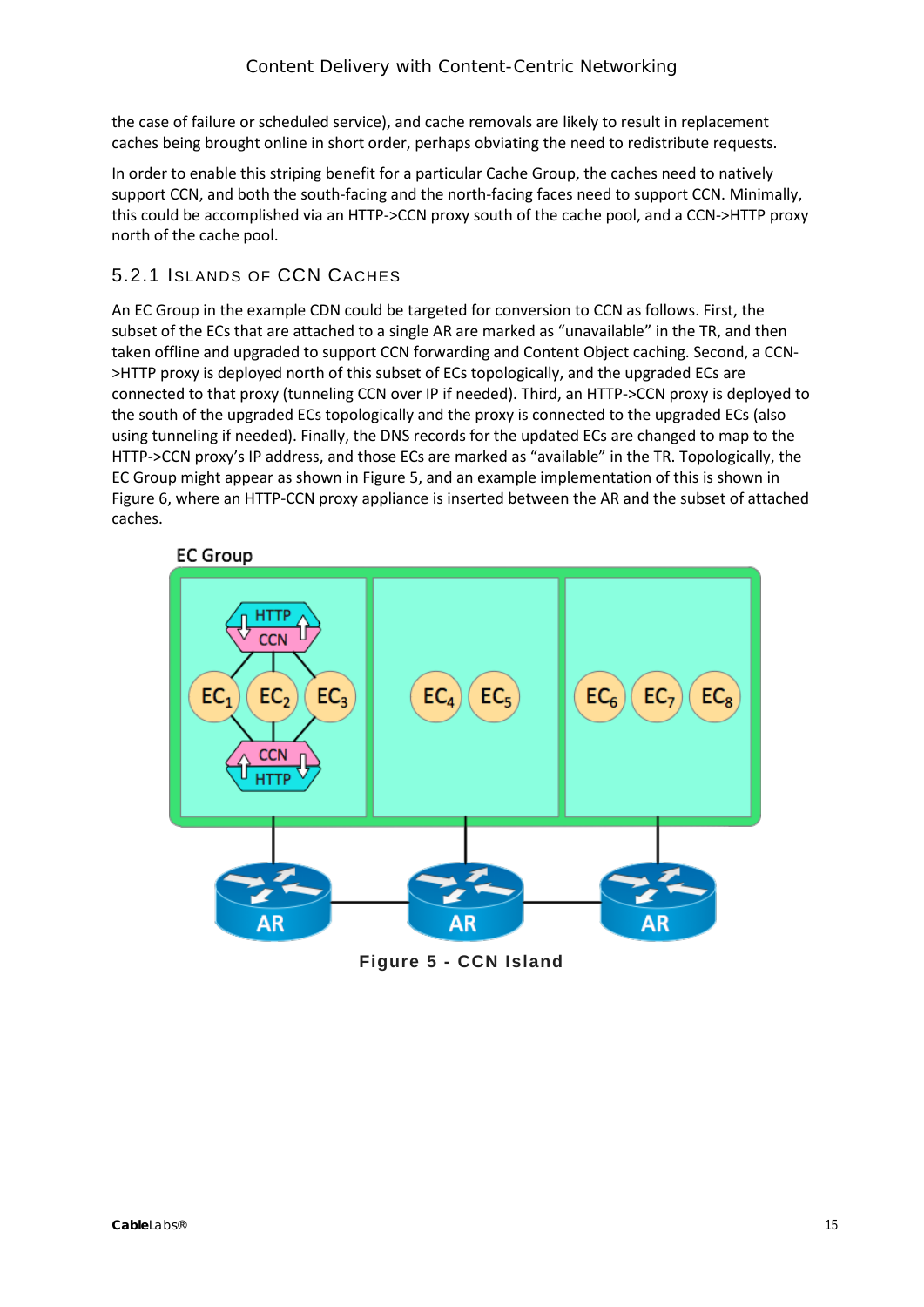the case of failure or scheduled service), and cache removals are likely to result in replacement caches being brought online in short order, perhaps obviating the need to redistribute requests.

In order to enable this striping benefit for a particular Cache Group, the caches need to natively support CCN, and both the south-facing and the north-facing faces need to support CCN. Minimally, this could be accomplished via an HTTP->CCN proxy south of the cache pool, and a CCN->HTTP proxy north of the cache pool.

#### <span id="page-14-0"></span>5.2.1 ISLANDS OF CCN CACHES

An EC Group in the example CDN could be targeted for conversion to CCN as follows. First, the subset of the ECs that are attached to a single AR are marked as "unavailable" in the TR, and then taken offline and upgraded to support CCN forwarding and Content Object caching. Second, a CCN- >HTTP proxy is deployed north of this subset of ECs topologically, and the upgraded ECs are connected to that proxy (tunneling CCN over IP if needed). Third, an HTTP->CCN proxy is deployed to the south of the upgraded ECs topologically and the proxy is connected to the upgraded ECs (also using tunneling if needed). Finally, the DNS records for the updated ECs are changed to map to the HTTP->CCN proxy's IP address, and those ECs are marked as "available" in the TR. Topologically, the EC Group might appear as shown i[n Figure 5,](#page-14-1) and an example implementation of this is shown in [Figure 6,](#page-15-0) where an HTTP-CCN proxy appliance is inserted between the AR and the subset of attached caches.





<span id="page-14-1"></span>**Figure 5 - CCN Island**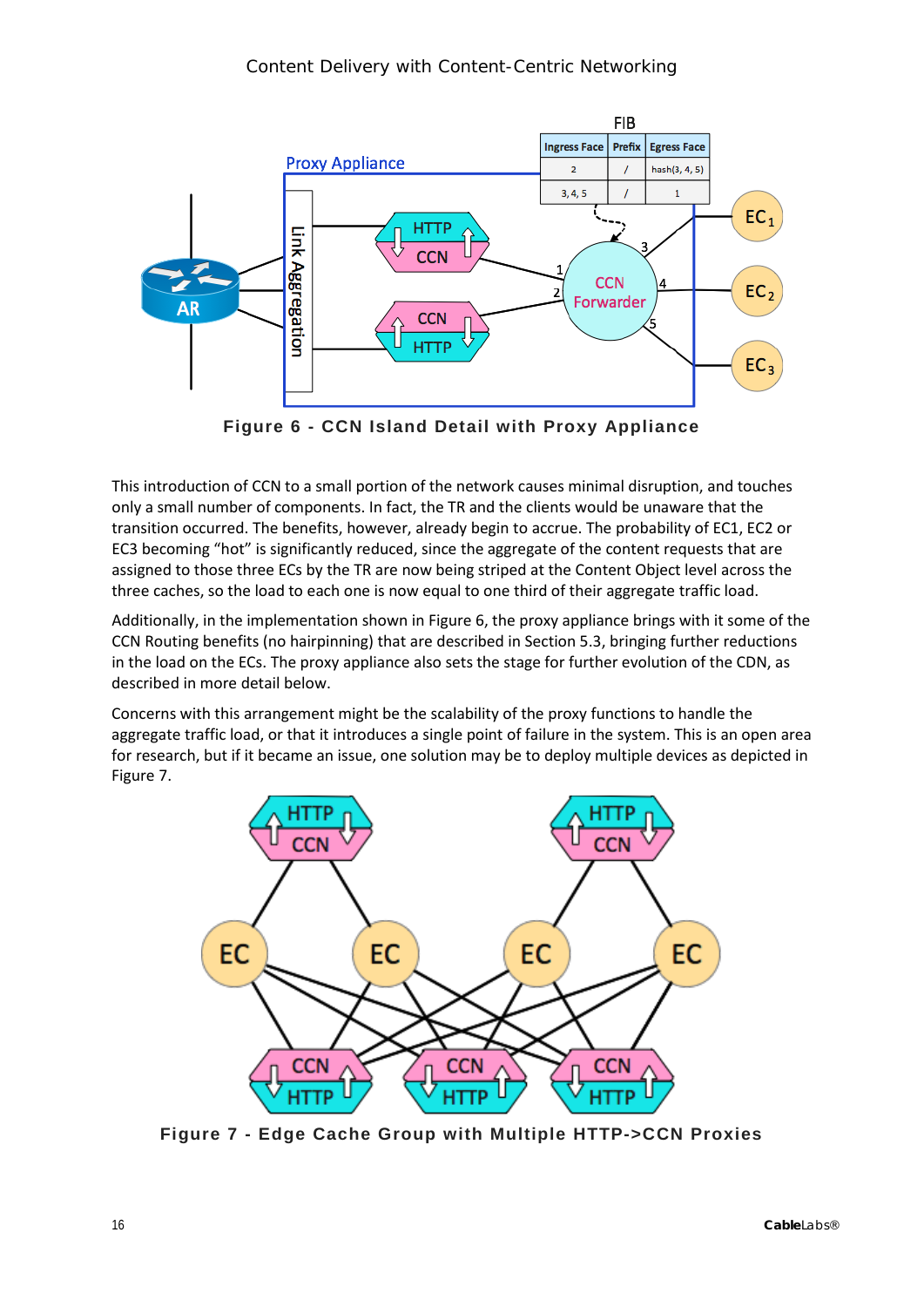

**Figure 6 - CCN Island Detail with Proxy Appliance**

<span id="page-15-0"></span>This introduction of CCN to a small portion of the network causes minimal disruption, and touches only a small number of components. In fact, the TR and the clients would be unaware that the transition occurred. The benefits, however, already begin to accrue. The probability of EC1, EC2 or EC3 becoming "hot" is significantly reduced, since the aggregate of the content requests that are assigned to those three ECs by the TR are now being striped at the Content Object level across the three caches, so the load to each one is now equal to one third of their aggregate traffic load.

Additionally, in the implementation shown in [Figure 6,](#page-15-0) the proxy appliance brings with it some of the CCN Routing benefits (no hairpinning) that are described in Sectio[n 5.3,](#page-16-1) bringing further reductions in the load on the ECs. The proxy appliance also sets the stage for further evolution of the CDN, as described in more detail below.

Concerns with this arrangement might be the scalability of the proxy functions to handle the aggregate traffic load, or that it introduces a single point of failure in the system. This is an open area for research, but if it became an issue, one solution may be to deploy multiple devices as depicted in [Figure 7.](#page-15-1)



<span id="page-15-1"></span>**Figure 7 - Edge Cache Group with Multiple HTTP->CCN Proxies**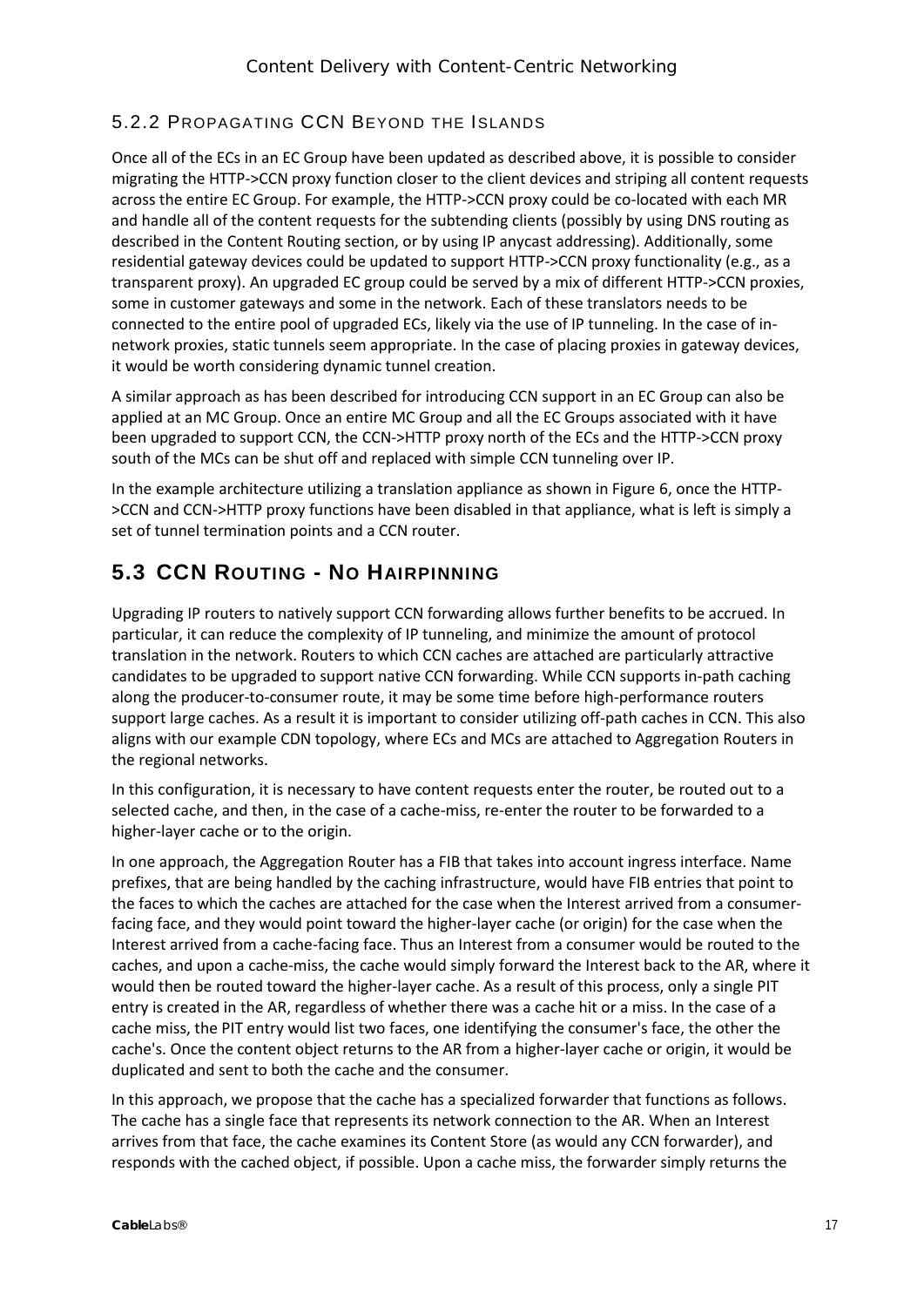#### <span id="page-16-0"></span>5.2.2 PROPAGATING CCN BEYOND THE ISLANDS

Once all of the ECs in an EC Group have been updated as described above, it is possible to consider migrating the HTTP->CCN proxy function closer to the client devices and striping all content requests across the entire EC Group. For example, the HTTP->CCN proxy could be co-located with each MR and handle all of the content requests for the subtending clients (possibly by using DNS routing as described in the [Content Routing](#page-6-1) section, or by using IP anycast addressing). Additionally, some residential gateway devices could be updated to support HTTP->CCN proxy functionality (e.g., as a transparent proxy). An upgraded EC group could be served by a mix of different HTTP->CCN proxies, some in customer gateways and some in the network. Each of these translators needs to be connected to the entire pool of upgraded ECs, likely via the use of IP tunneling. In the case of innetwork proxies, static tunnels seem appropriate. In the case of placing proxies in gateway devices, it would be worth considering dynamic tunnel creation.

A similar approach as has been described for introducing CCN support in an EC Group can also be applied at an MC Group. Once an entire MC Group and all the EC Groups associated with it have been upgraded to support CCN, the CCN->HTTP proxy north of the ECs and the HTTP->CCN proxy south of the MCs can be shut off and replaced with simple CCN tunneling over IP.

In the example architecture utilizing a translation appliance as shown i[n Figure 6,](#page-15-0) once the HTTP- >CCN and CCN->HTTP proxy functions have been disabled in that appliance, what is left is simply a set of tunnel termination points and a CCN router.

#### <span id="page-16-1"></span>**5.3 CCN ROUTING - NO HAIRPINNING**

Upgrading IP routers to natively support CCN forwarding allows further benefits to be accrued. In particular, it can reduce the complexity of IP tunneling, and minimize the amount of protocol translation in the network. Routers to which CCN caches are attached are particularly attractive candidates to be upgraded to support native CCN forwarding. While CCN supports in-path caching along the producer-to-consumer route, it may be some time before high-performance routers support large caches. As a result it is important to consider utilizing off-path caches in CCN. This also aligns with our example CDN topology, where ECs and MCs are attached to Aggregation Routers in the regional networks.

In this configuration, it is necessary to have content requests enter the router, be routed out to a selected cache, and then, in the case of a cache-miss, re-enter the router to be forwarded to a higher-layer cache or to the origin.

In one approach, the Aggregation Router has a FIB that takes into account ingress interface. Name prefixes, that are being handled by the caching infrastructure, would have FIB entries that point to the faces to which the caches are attached for the case when the Interest arrived from a consumerfacing face, and they would point toward the higher-layer cache (or origin) for the case when the Interest arrived from a cache-facing face. Thus an Interest from a consumer would be routed to the caches, and upon a cache-miss, the cache would simply forward the Interest back to the AR, where it would then be routed toward the higher-layer cache. As a result of this process, only a single PIT entry is created in the AR, regardless of whether there was a cache hit or a miss. In the case of a cache miss, the PIT entry would list two faces, one identifying the consumer's face, the other the cache's. Once the content object returns to the AR from a higher-layer cache or origin, it would be duplicated and sent to both the cache and the consumer.

In this approach, we propose that the cache has a specialized forwarder that functions as follows. The cache has a single face that represents its network connection to the AR. When an Interest arrives from that face, the cache examines its Content Store (as would any CCN forwarder), and responds with the cached object, if possible. Upon a cache miss, the forwarder simply returns the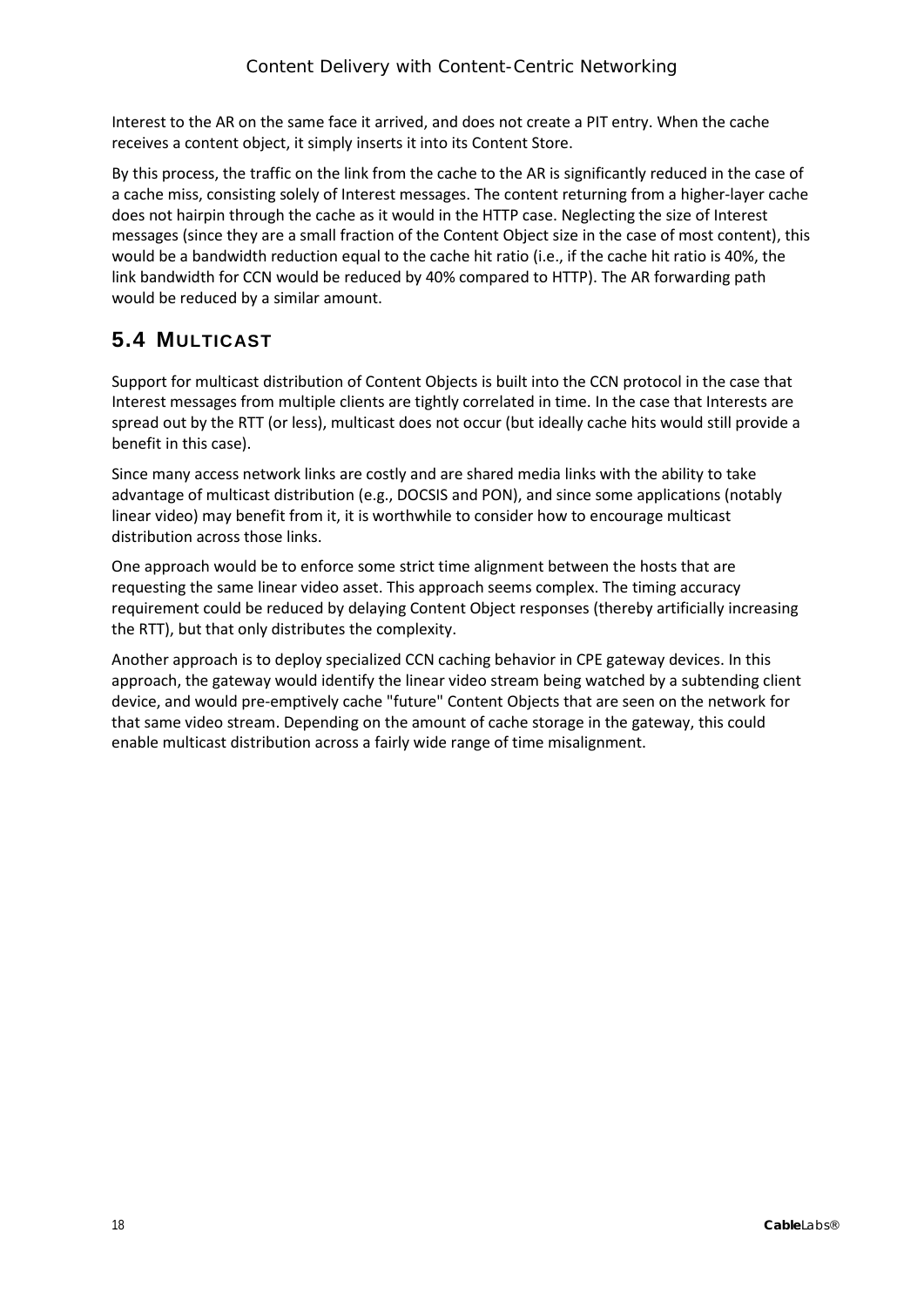Interest to the AR on the same face it arrived, and does not create a PIT entry. When the cache receives a content object, it simply inserts it into its Content Store.

By this process, the traffic on the link from the cache to the AR is significantly reduced in the case of a cache miss, consisting solely of Interest messages. The content returning from a higher-layer cache does not hairpin through the cache as it would in the HTTP case. Neglecting the size of Interest messages (since they are a small fraction of the Content Object size in the case of most content), this would be a bandwidth reduction equal to the cache hit ratio (i.e., if the cache hit ratio is 40%, the link bandwidth for CCN would be reduced by 40% compared to HTTP). The AR forwarding path would be reduced by a similar amount.

### <span id="page-17-0"></span>**5.4 MULTICAST**

Support for multicast distribution of Content Objects is built into the CCN protocol in the case that Interest messages from multiple clients are tightly correlated in time. In the case that Interests are spread out by the RTT (or less), multicast does not occur (but ideally cache hits would still provide a benefit in this case).

Since many access network links are costly and are shared media links with the ability to take advantage of multicast distribution (e.g., DOCSIS and PON), and since some applications (notably linear video) may benefit from it, it is worthwhile to consider how to encourage multicast distribution across those links.

One approach would be to enforce some strict time alignment between the hosts that are requesting the same linear video asset. This approach seems complex. The timing accuracy requirement could be reduced by delaying Content Object responses (thereby artificially increasing the RTT), but that only distributes the complexity.

Another approach is to deploy specialized CCN caching behavior in CPE gateway devices. In this approach, the gateway would identify the linear video stream being watched by a subtending client device, and would pre-emptively cache "future" Content Objects that are seen on the network for that same video stream. Depending on the amount of cache storage in the gateway, this could enable multicast distribution across a fairly wide range of time misalignment.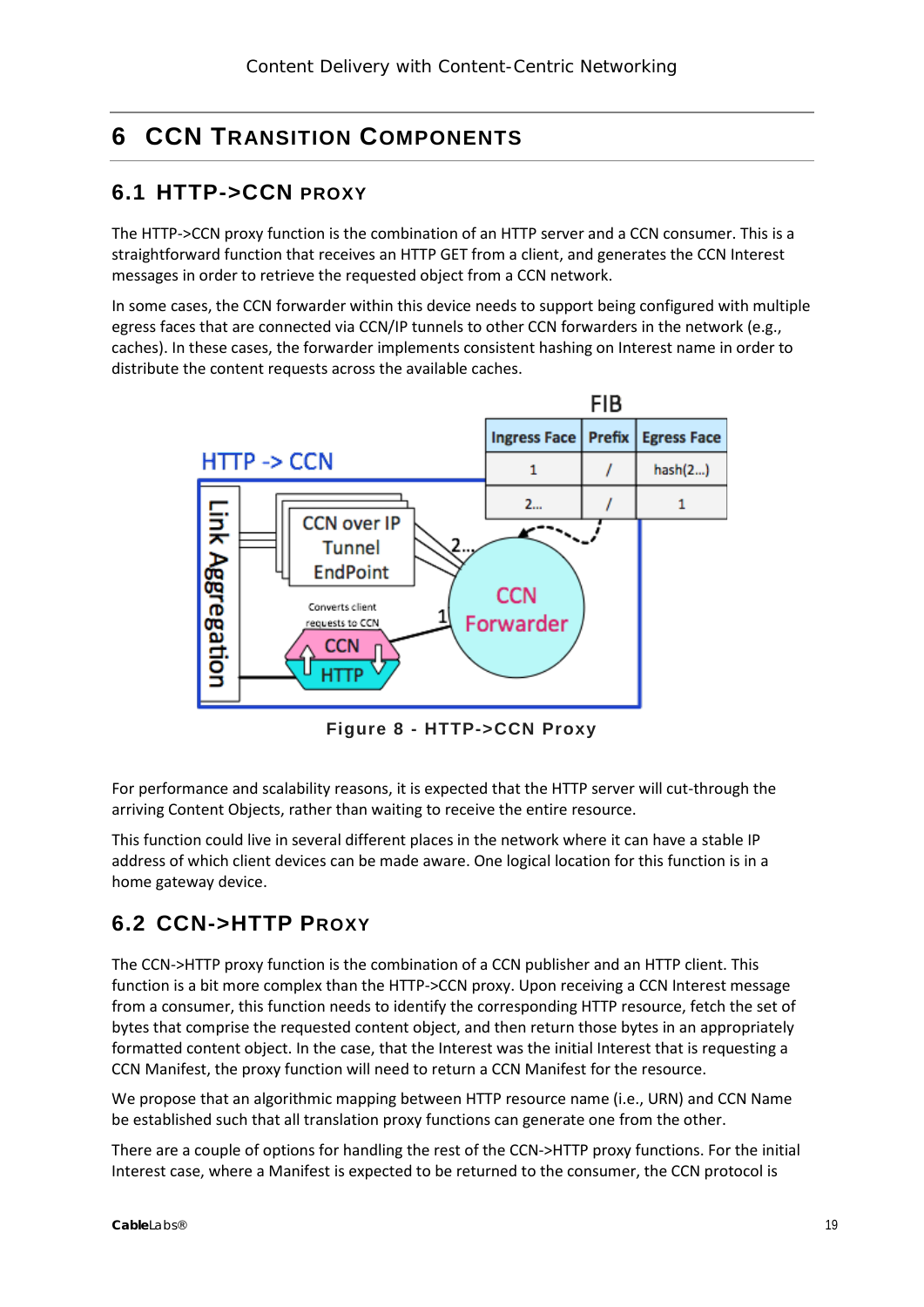# <span id="page-18-0"></span>**6 CCN TRANSITION COMPONENTS**

### <span id="page-18-1"></span>**6.1 HTTP->CCN PROXY**

The HTTP->CCN proxy function is the combination of an HTTP server and a CCN consumer. This is a straightforward function that receives an HTTP GET from a client, and generates the CCN Interest messages in order to retrieve the requested object from a CCN network.

In some cases, the CCN forwarder within this device needs to support being configured with multiple egress faces that are connected via CCN/IP tunnels to other CCN forwarders in the network (e.g., caches). In these cases, the forwarder implements consistent hashing on Interest name in order to distribute the content requests across the available caches.



**Figure 8 - HTTP->CCN Proxy**

<span id="page-18-3"></span>For performance and scalability reasons, it is expected that the HTTP server will cut-through the arriving Content Objects, rather than waiting to receive the entire resource.

This function could live in several different places in the network where it can have a stable IP address of which client devices can be made aware. One logical location for this function is in a home gateway device.

### <span id="page-18-2"></span>**6.2 CCN->HTTP PROXY**

The CCN->HTTP proxy function is the combination of a CCN publisher and an HTTP client. This function is a bit more complex than the HTTP->CCN proxy. Upon receiving a CCN Interest message from a consumer, this function needs to identify the corresponding HTTP resource, fetch the set of bytes that comprise the requested content object, and then return those bytes in an appropriately formatted content object. In the case, that the Interest was the initial Interest that is requesting a CCN Manifest, the proxy function will need to return a CCN Manifest for the resource.

We propose that an algorithmic mapping between HTTP resource name (i.e., URN) and CCN Name be established such that all translation proxy functions can generate one from the other.

There are a couple of options for handling the rest of the CCN->HTTP proxy functions. For the initial Interest case, where a Manifest is expected to be returned to the consumer, the CCN protocol is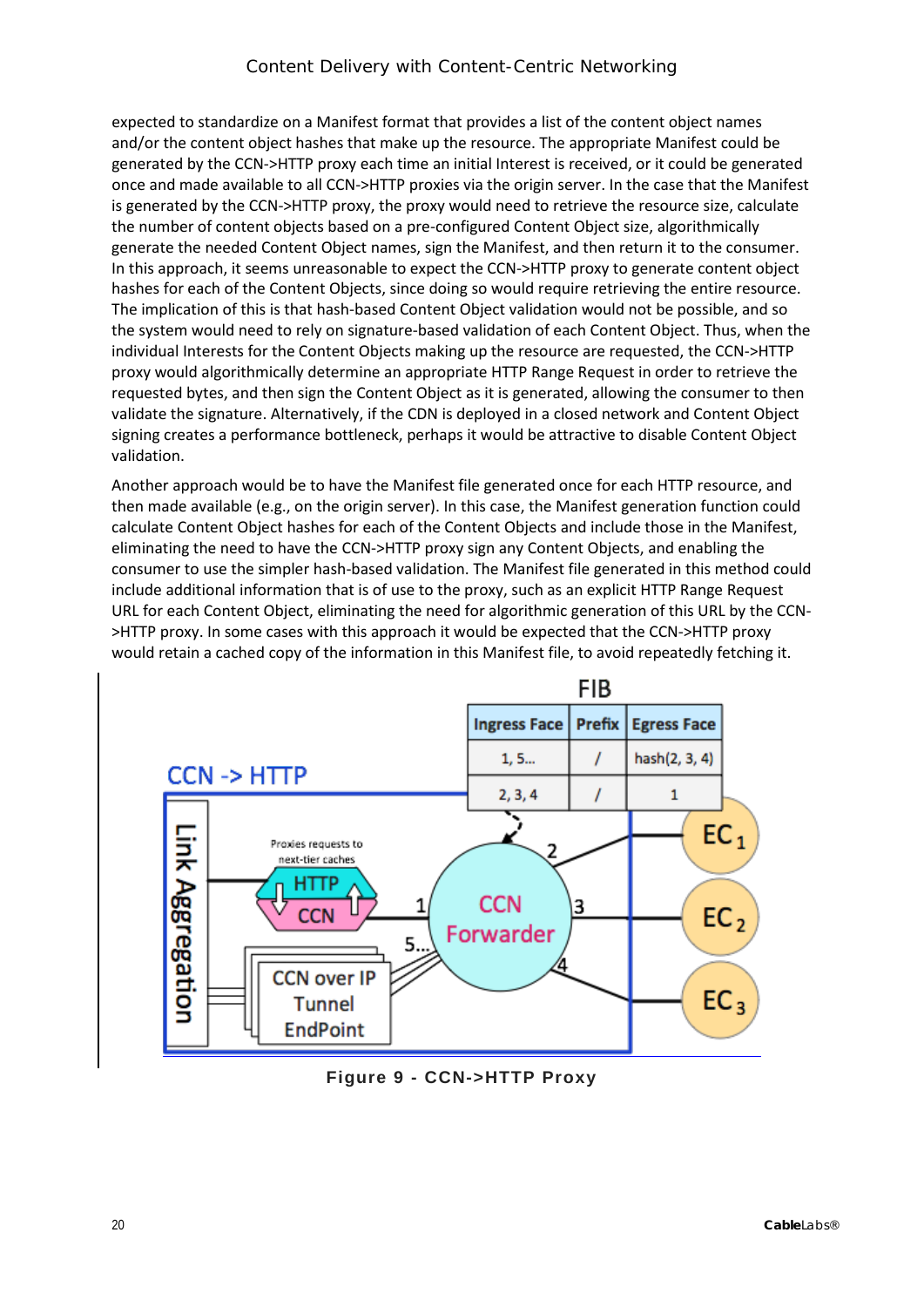expected to standardize on a Manifest format that provides a list of the content object names and/or the content object hashes that make up the resource. The appropriate Manifest could be generated by the CCN->HTTP proxy each time an initial Interest is received, or it could be generated once and made available to all CCN->HTTP proxies via the origin server. In the case that the Manifest is generated by the CCN->HTTP proxy, the proxy would need to retrieve the resource size, calculate the number of content objects based on a pre-configured Content Object size, algorithmically generate the needed Content Object names, sign the Manifest, and then return it to the consumer. In this approach, it seems unreasonable to expect the CCN->HTTP proxy to generate content object hashes for each of the Content Objects, since doing so would require retrieving the entire resource. The implication of this is that hash-based Content Object validation would not be possible, and so the system would need to rely on signature-based validation of each Content Object. Thus, when the individual Interests for the Content Objects making up the resource are requested, the CCN->HTTP proxy would algorithmically determine an appropriate HTTP Range Request in order to retrieve the requested bytes, and then sign the Content Object as it is generated, allowing the consumer to then validate the signature. Alternatively, if the CDN is deployed in a closed network and Content Object signing creates a performance bottleneck, perhaps it would be attractive to disable Content Object validation.

Another approach would be to have the Manifest file generated once for each HTTP resource, and then made available (e.g., on the origin server). In this case, the Manifest generation function could calculate Content Object hashes for each of the Content Objects and include those in the Manifest, eliminating the need to have the CCN->HTTP proxy sign any Content Objects, and enabling the consumer to use the simpler hash-based validation. The Manifest file generated in this method could include additional information that is of use to the proxy, such as an explicit HTTP Range Request URL for each Content Object, eliminating the need for algorithmic generation of this URL by the CCN- >HTTP proxy. In some cases with this approach it would be expected that the CCN->HTTP proxy would retain a cached copy of the information in this Manifest file, to avoid repeatedly fetching it.



<span id="page-19-0"></span>**Figure 9 - CCN->HTTP Proxy**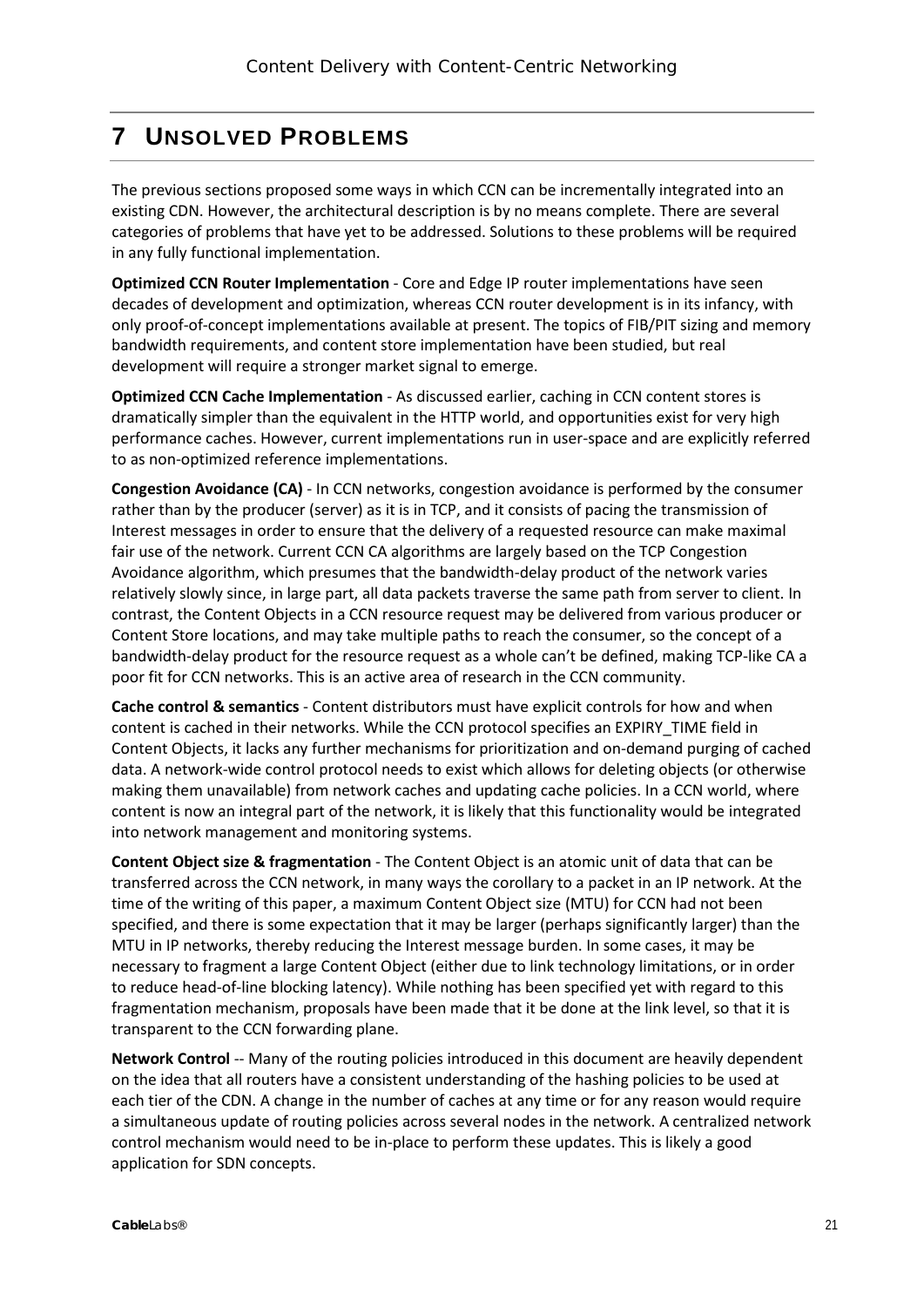# <span id="page-20-0"></span>**7 UNSOLVED PROBLEMS**

The previous sections proposed some ways in which CCN can be incrementally integrated into an existing CDN. However, the architectural description is by no means complete. There are several categories of problems that have yet to be addressed. Solutions to these problems will be required in any fully functional implementation.

**Optimized CCN Router Implementation** - Core and Edge IP router implementations have seen decades of development and optimization, whereas CCN router development is in its infancy, with only proof-of-concept implementations available at present. The topics of FIB/PIT sizing and memory bandwidth requirements, and content store implementation have been studied, but real development will require a stronger market signal to emerge.

**Optimized CCN Cache Implementation** - As discussed earlier, caching in CCN content stores is dramatically simpler than the equivalent in the HTTP world, and opportunities exist for very high performance caches. However, current implementations run in user-space and are explicitly referred to as non-optimized reference implementations.

**Congestion Avoidance (CA)** - In CCN networks, congestion avoidance is performed by the consumer rather than by the producer (server) as it is in TCP, and it consists of pacing the transmission of Interest messages in order to ensure that the delivery of a requested resource can make maximal fair use of the network. Current CCN CA algorithms are largely based on the TCP Congestion Avoidance algorithm, which presumes that the bandwidth-delay product of the network varies relatively slowly since, in large part, all data packets traverse the same path from server to client. In contrast, the Content Objects in a CCN resource request may be delivered from various producer or Content Store locations, and may take multiple paths to reach the consumer, so the concept of a bandwidth-delay product for the resource request as a whole can't be defined, making TCP-like CA a poor fit for CCN networks. This is an active area of research in the CCN community.

**Cache control & semantics** - Content distributors must have explicit controls for how and when content is cached in their networks. While the CCN protocol specifies an EXPIRY\_TIME field in Content Objects, it lacks any further mechanisms for prioritization and on-demand purging of cached data. A network-wide control protocol needs to exist which allows for deleting objects (or otherwise making them unavailable) from network caches and updating cache policies. In a CCN world, where content is now an integral part of the network, it is likely that this functionality would be integrated into network management and monitoring systems.

**Content Object size & fragmentation** - The Content Object is an atomic unit of data that can be transferred across the CCN network, in many ways the corollary to a packet in an IP network. At the time of the writing of this paper, a maximum Content Object size (MTU) for CCN had not been specified, and there is some expectation that it may be larger (perhaps significantly larger) than the MTU in IP networks, thereby reducing the Interest message burden. In some cases, it may be necessary to fragment a large Content Object (either due to link technology limitations, or in order to reduce head-of-line blocking latency). While nothing has been specified yet with regard to this fragmentation mechanism, proposals have been made that it be done at the link level, so that it is transparent to the CCN forwarding plane.

**Network Control** -- Many of the routing policies introduced in this document are heavily dependent on the idea that all routers have a consistent understanding of the hashing policies to be used at each tier of the CDN. A change in the number of caches at any time or for any reason would require a simultaneous update of routing policies across several nodes in the network. A centralized network control mechanism would need to be in-place to perform these updates. This is likely a good application for SDN concepts.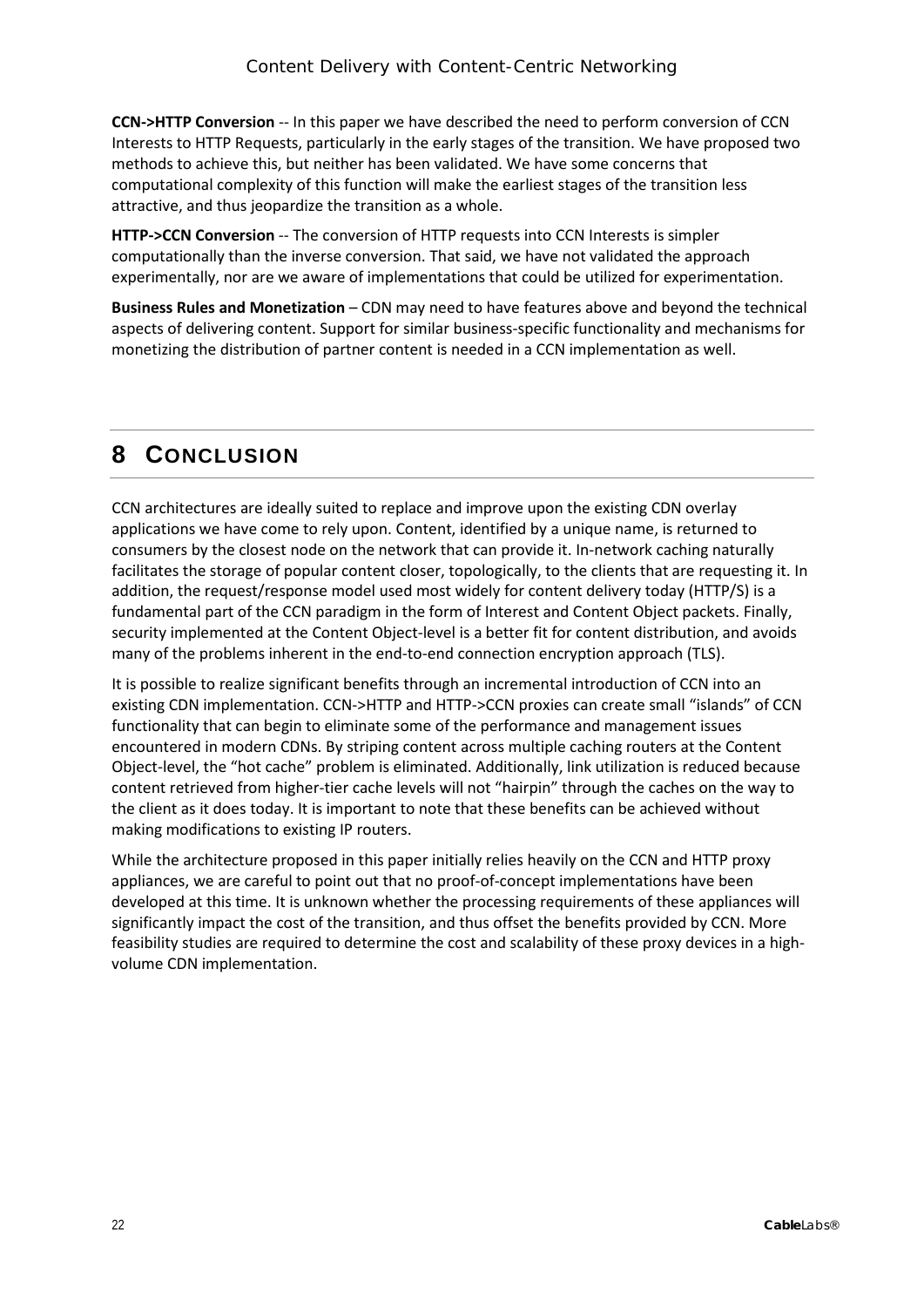**CCN->HTTP Conversion** -- In this paper we have described the need to perform conversion of CCN Interests to HTTP Requests, particularly in the early stages of the transition. We have proposed two methods to achieve this, but neither has been validated. We have some concerns that computational complexity of this function will make the earliest stages of the transition less attractive, and thus jeopardize the transition as a whole.

**HTTP->CCN Conversion** -- The conversion of HTTP requests into CCN Interests is simpler computationally than the inverse conversion. That said, we have not validated the approach experimentally, nor are we aware of implementations that could be utilized for experimentation.

**Business Rules and Monetization** – CDN may need to have features above and beyond the technical aspects of delivering content. Support for similar business-specific functionality and mechanisms for monetizing the distribution of partner content is needed in a CCN implementation as well.

### <span id="page-21-0"></span>**8 CONCLUSION**

CCN architectures are ideally suited to replace and improve upon the existing CDN overlay applications we have come to rely upon. Content, identified by a unique name, is returned to consumers by the closest node on the network that can provide it. In-network caching naturally facilitates the storage of popular content closer, topologically, to the clients that are requesting it. In addition, the request/response model used most widely for content delivery today (HTTP/S) is a fundamental part of the CCN paradigm in the form of Interest and Content Object packets. Finally, security implemented at the Content Object-level is a better fit for content distribution, and avoids many of the problems inherent in the end-to-end connection encryption approach (TLS).

It is possible to realize significant benefits through an incremental introduction of CCN into an existing CDN implementation. CCN->HTTP and HTTP->CCN proxies can create small "islands" of CCN functionality that can begin to eliminate some of the performance and management issues encountered in modern CDNs. By striping content across multiple caching routers at the Content Object-level, the "hot cache" problem is eliminated. Additionally, link utilization is reduced because content retrieved from higher-tier cache levels will not "hairpin" through the caches on the way to the client as it does today. It is important to note that these benefits can be achieved without making modifications to existing IP routers.

While the architecture proposed in this paper initially relies heavily on the CCN and HTTP proxy appliances, we are careful to point out that no proof-of-concept implementations have been developed at this time. It is unknown whether the processing requirements of these appliances will significantly impact the cost of the transition, and thus offset the benefits provided by CCN. More feasibility studies are required to determine the cost and scalability of these proxy devices in a highvolume CDN implementation.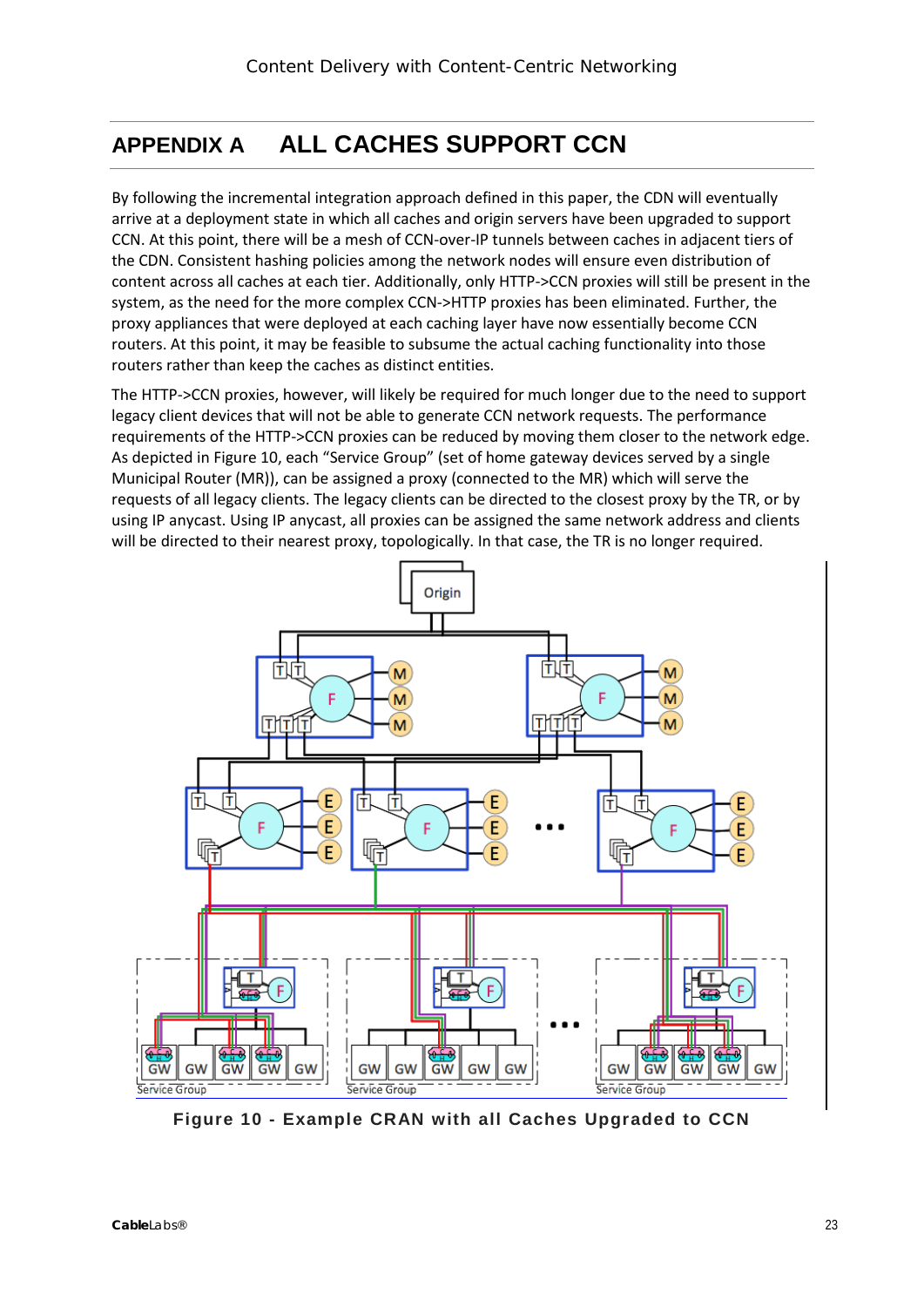# <span id="page-22-0"></span>**APPENDIX A ALL CACHES SUPPORT CCN**

By following the incremental integration approach defined in this paper, the CDN will eventually arrive at a deployment state in which all caches and origin servers have been upgraded to support CCN. At this point, there will be a mesh of CCN-over-IP tunnels between caches in adjacent tiers of the CDN. Consistent hashing policies among the network nodes will ensure even distribution of content across all caches at each tier. Additionally, only HTTP->CCN proxies will still be present in the system, as the need for the more complex CCN->HTTP proxies has been eliminated. Further, the proxy appliances that were deployed at each caching layer have now essentially become CCN routers. At this point, it may be feasible to subsume the actual caching functionality into those routers rather than keep the caches as distinct entities.

The HTTP->CCN proxies, however, will likely be required for much longer due to the need to support legacy client devices that will not be able to generate CCN network requests. The performance requirements of the HTTP->CCN proxies can be reduced by moving them closer to the network edge. As depicted i[n Figure 10,](#page-22-1) each "Service Group" (set of home gateway devices served by a single Municipal Router (MR)), can be assigned a proxy (connected to the MR) which will serve the requests of all legacy clients. The legacy clients can be directed to the closest proxy by the TR, or by using IP anycast. Using IP anycast, all proxies can be assigned the same network address and clients will be directed to their nearest proxy, topologically. In that case, the TR is no longer required.



<span id="page-22-1"></span>**Figure 10 - Example CRAN with all Caches Upgraded to CCN**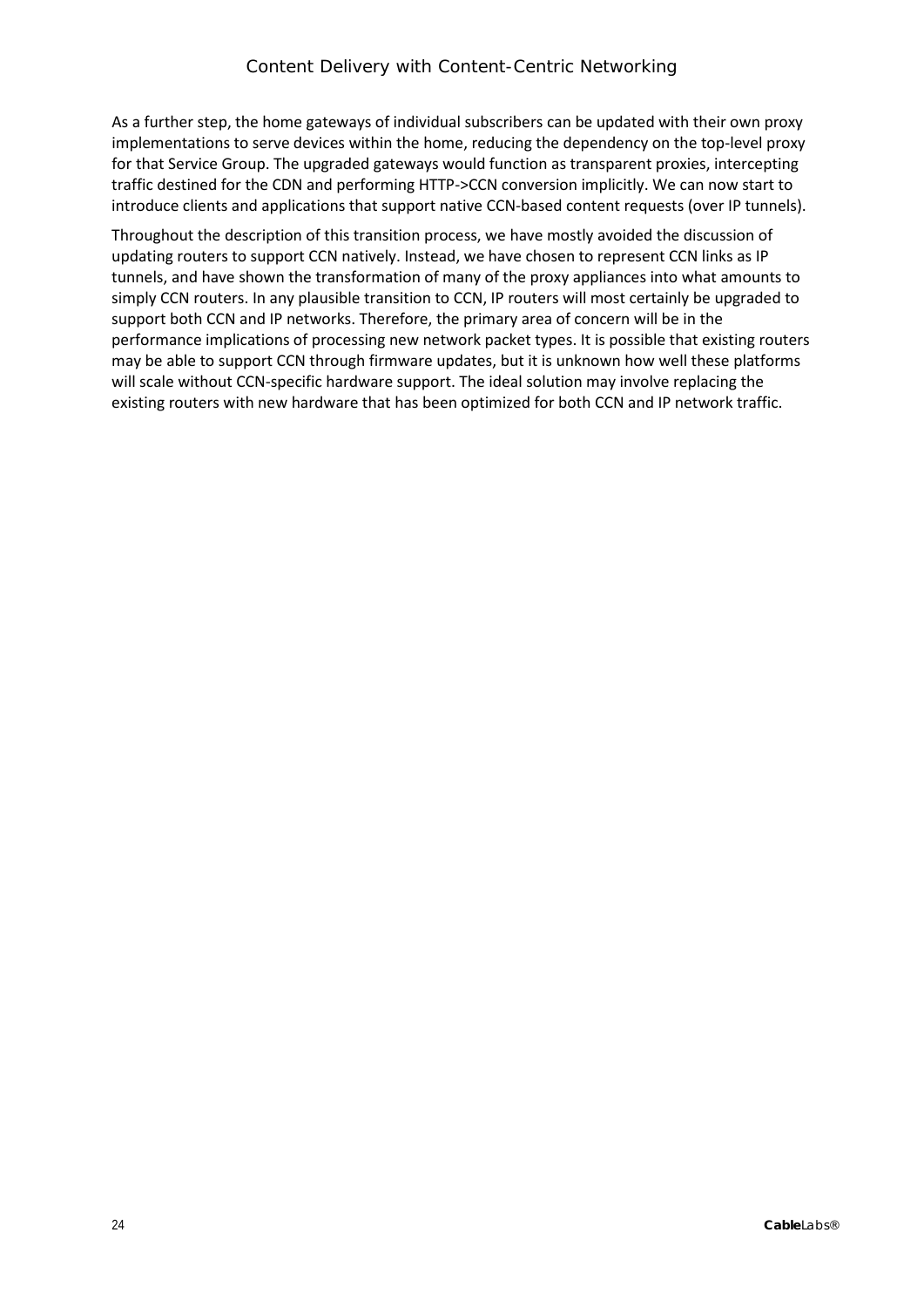As a further step, the home gateways of individual subscribers can be updated with their own proxy implementations to serve devices within the home, reducing the dependency on the top-level proxy for that Service Group. The upgraded gateways would function as transparent proxies, intercepting traffic destined for the CDN and performing HTTP->CCN conversion implicitly. We can now start to introduce clients and applications that support native CCN-based content requests (over IP tunnels).

Throughout the description of this transition process, we have mostly avoided the discussion of updating routers to support CCN natively. Instead, we have chosen to represent CCN links as IP tunnels, and have shown the transformation of many of the proxy appliances into what amounts to simply CCN routers. In any plausible transition to CCN, IP routers will most certainly be upgraded to support both CCN and IP networks. Therefore, the primary area of concern will be in the performance implications of processing new network packet types. It is possible that existing routers may be able to support CCN through firmware updates, but it is unknown how well these platforms will scale without CCN-specific hardware support. The ideal solution may involve replacing the existing routers with new hardware that has been optimized for both CCN and IP network traffic.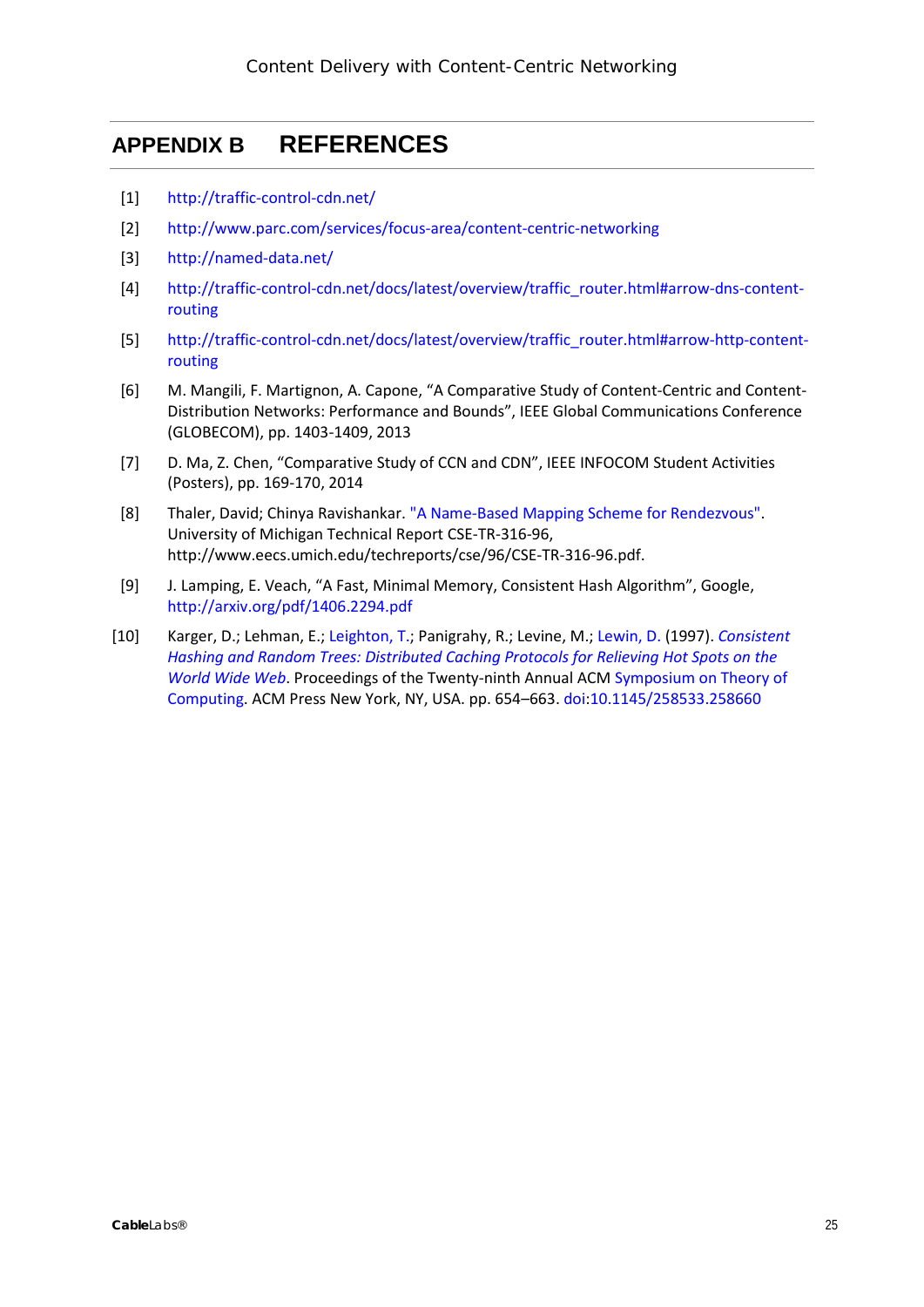### <span id="page-24-0"></span>**APPENDIX B REFERENCES**

- [1] <http://traffic-control-cdn.net/>
- [2] <http://www.parc.com/services/focus-area/content-centric-networking>
- [3] <http://named-data.net/>
- [4] [http://traffic-control-cdn.net/docs/latest/overview/traffic\\_router.html#arrow-dns-content](http://traffic-control-cdn.net/docs/latest/overview/traffic_router.html#arrow-dns-content-routing)[routing](http://traffic-control-cdn.net/docs/latest/overview/traffic_router.html#arrow-dns-content-routing)
- [5] [http://traffic-control-cdn.net/docs/latest/overview/traffic\\_router.html#arrow-http-content](http://traffic-control-cdn.net/docs/latest/overview/traffic_router.html#arrow-http-content-routing)[routing](http://traffic-control-cdn.net/docs/latest/overview/traffic_router.html#arrow-http-content-routing)
- [6] M. Mangili, F. Martignon, A. Capone, "A Comparative Study of Content-Centric and Content-Distribution Networks: Performance and Bounds", IEEE Global Communications Conference (GLOBECOM), pp. 1403-1409, 2013
- [7] D. Ma, Z. Chen, "Comparative Study of CCN and CDN", IEEE INFOCOM Student Activities (Posters), pp. 169-170, 2014
- [8] Thaler, David; Chinya Ravishankar. ["A Name-Based Mapping Scheme for Rendezvous".](http://www.eecs.umich.edu/techreports/cse/96/CSE-TR-316-96.pdf) University of Michigan Technical Report CSE-TR-316-96, http://www.eecs.umich.edu/techreports/cse/96/CSE-TR-316-96.pdf.
- [9] J. Lamping, E. Veach, "A Fast, Minimal Memory, Consistent Hash Algorithm", Google, <http://arxiv.org/pdf/1406.2294.pdf>
- [10] Karger, D.; Lehman, E.; [Leighton, T.;](https://en.wikipedia.org/wiki/F._Thomson_Leighton) Panigrahy, R.; Levine, M.; [Lewin, D.](https://en.wikipedia.org/wiki/Daniel_M._Lewin) (1997). *[Consistent](http://portal.acm.org/citation.cfm?id=258660)  [Hashing and Random Trees: Distributed Caching Protocols for Relieving Hot Spots on the](http://portal.acm.org/citation.cfm?id=258660)  [World Wide Web](http://portal.acm.org/citation.cfm?id=258660)*. Proceedings of the Twenty-ninth Annual ACM [Symposium on Theory of](https://en.wikipedia.org/wiki/Symposium_on_Theory_of_Computing)  [Computing.](https://en.wikipedia.org/wiki/Symposium_on_Theory_of_Computing) ACM Press New York, NY, USA. pp. 654–663. [doi:](https://en.wikipedia.org/wiki/Digital_object_identifier)[10.1145/258533.258660](https://dx.doi.org/10.1145%2F258533.258660)